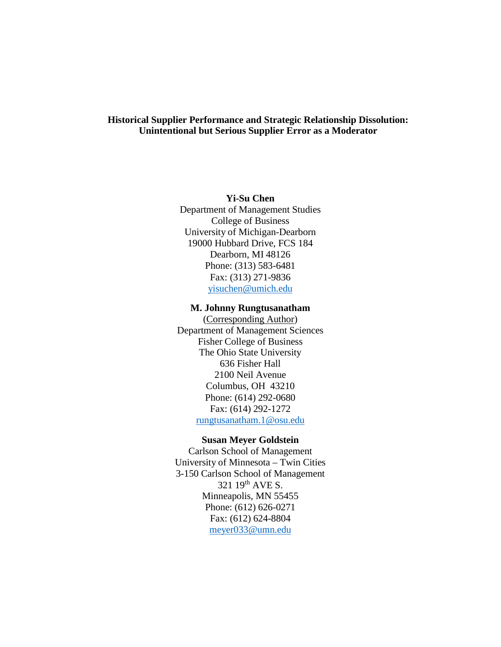## **Historical Supplier Performance and Strategic Relationship Dissolution: Unintentional but Serious Supplier Error as a Moderator**

## **Yi-Su Chen**

Department of Management Studies College of Business University of Michigan-Dearborn 19000 Hubbard Drive, FCS 184 Dearborn, MI 48126 Phone: (313) 583-6481 Fax: (313) 271-9836 [yisuchen@umich.edu](mailto:yisuchen@umich.edu)

#### **M. Johnny Rungtusanatham**

(Corresponding Author) Department of Management Sciences Fisher College of Business The Ohio State University 636 Fisher Hall 2100 Neil Avenue Columbus, OH 43210 Phone: (614) 292-0680 Fax: (614) 292-1272 [rungtusanatham.1@osu.edu](mailto:rungtusanatham.1@osu.edu)

#### **Susan Meyer Goldstein**

Carlson School of Management University of Minnesota – Twin Cities 3-150 Carlson School of Management 321 19th AVE S. Minneapolis, MN 55455 Phone: (612) 626-0271 Fax: (612) 624-8804 [meyer033@umn.edu](mailto:meyer033@umn.edu)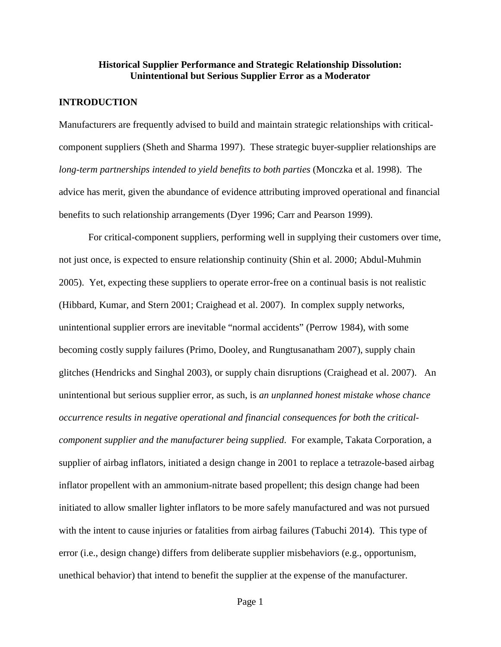#### **Historical Supplier Performance and Strategic Relationship Dissolution: Unintentional but Serious Supplier Error as a Moderator**

#### **INTRODUCTION**

Manufacturers are frequently advised to build and maintain strategic relationships with criticalcomponent suppliers (Sheth and Sharma 1997). These strategic buyer-supplier relationships are *long-term partnerships intended to yield benefits to both parties* (Monczka et al. 1998). The advice has merit, given the abundance of evidence attributing improved operational and financial benefits to such relationship arrangements (Dyer 1996; Carr and Pearson 1999).

For critical-component suppliers, performing well in supplying their customers over time, not just once, is expected to ensure relationship continuity (Shin et al. 2000; Abdul-Muhmin 2005). Yet, expecting these suppliers to operate error-free on a continual basis is not realistic (Hibbard, Kumar, and Stern 2001; Craighead et al. 2007). In complex supply networks, unintentional supplier errors are inevitable "normal accidents" (Perrow 1984), with some becoming costly supply failures (Primo, Dooley, and Rungtusanatham 2007), supply chain glitches (Hendricks and Singhal 2003), or supply chain disruptions (Craighead et al. 2007). An unintentional but serious supplier error, as such, is *an unplanned honest mistake whose chance occurrence results in negative operational and financial consequences for both the criticalcomponent supplier and the manufacturer being supplied*. For example, Takata Corporation, a supplier of airbag inflators, initiated a design change in 2001 to replace a tetrazole-based airbag inflator propellent with an ammonium-nitrate based propellent; this design change had been initiated to allow smaller lighter inflators to be more safely manufactured and was not pursued with the intent to cause injuries or fatalities from airbag failures (Tabuchi 2014). This type of error (i.e., design change) differs from deliberate supplier misbehaviors (e.g., opportunism, unethical behavior) that intend to benefit the supplier at the expense of the manufacturer.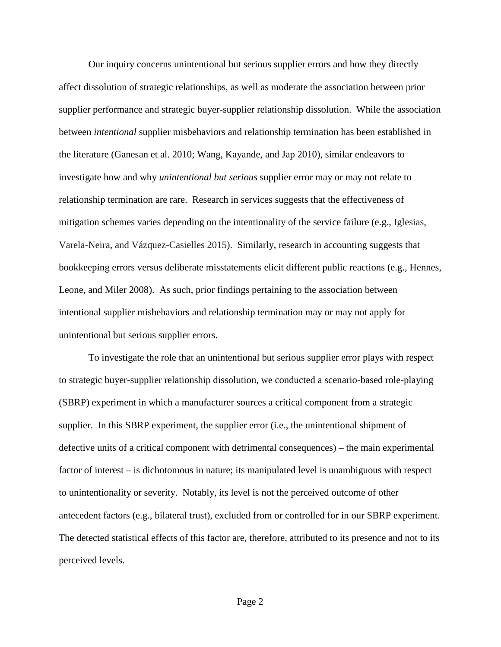Our inquiry concerns unintentional but serious supplier errors and how they directly affect dissolution of strategic relationships, as well as moderate the association between prior supplier performance and strategic buyer-supplier relationship dissolution. While the association between *intentional* supplier misbehaviors and relationship termination has been established in the literature (Ganesan et al. 2010; Wang, Kayande, and Jap 2010), similar endeavors to investigate how and why *unintentional but serious* supplier error may or may not relate to relationship termination are rare. Research in services suggests that the effectiveness of mitigation schemes varies depending on the intentionality of the service failure (e.g., Iglesias, Varela-Neira, and Vázquez-Casielles 2015). Similarly, research in accounting suggests that bookkeeping errors versus deliberate misstatements elicit different public reactions (e.g., Hennes, Leone, and Miler 2008). As such, prior findings pertaining to the association between intentional supplier misbehaviors and relationship termination may or may not apply for unintentional but serious supplier errors.

To investigate the role that an unintentional but serious supplier error plays with respect to strategic buyer-supplier relationship dissolution, we conducted a scenario-based role-playing (SBRP) experiment in which a manufacturer sources a critical component from a strategic supplier. In this SBRP experiment, the supplier error (i.e., the unintentional shipment of defective units of a critical component with detrimental consequences) – the main experimental factor of interest – is dichotomous in nature; its manipulated level is unambiguous with respect to unintentionality or severity. Notably, its level is not the perceived outcome of other antecedent factors (e.g., bilateral trust), excluded from or controlled for in our SBRP experiment. The detected statistical effects of this factor are, therefore, attributed to its presence and not to its perceived levels.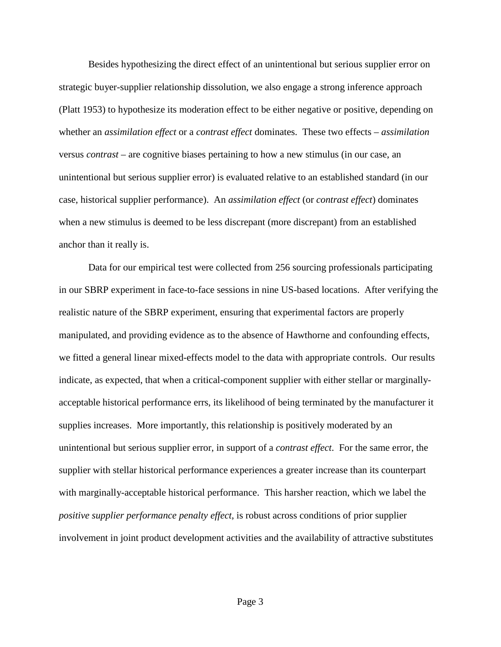Besides hypothesizing the direct effect of an unintentional but serious supplier error on strategic buyer-supplier relationship dissolution, we also engage a strong inference approach (Platt 1953) to hypothesize its moderation effect to be either negative or positive, depending on whether an *assimilation effect* or a *contrast effect* dominates. These two effects – *assimilation* versus *contrast* – are cognitive biases pertaining to how a new stimulus (in our case, an unintentional but serious supplier error) is evaluated relative to an established standard (in our case, historical supplier performance). An *assimilation effect* (or *contrast effect*) dominates when a new stimulus is deemed to be less discrepant (more discrepant) from an established anchor than it really is.

Data for our empirical test were collected from 256 sourcing professionals participating in our SBRP experiment in face-to-face sessions in nine US-based locations. After verifying the realistic nature of the SBRP experiment, ensuring that experimental factors are properly manipulated, and providing evidence as to the absence of Hawthorne and confounding effects, we fitted a general linear mixed-effects model to the data with appropriate controls. Our results indicate, as expected, that when a critical-component supplier with either stellar or marginallyacceptable historical performance errs, its likelihood of being terminated by the manufacturer it supplies increases. More importantly, this relationship is positively moderated by an unintentional but serious supplier error, in support of a *contrast effect*. For the same error, the supplier with stellar historical performance experiences a greater increase than its counterpart with marginally-acceptable historical performance. This harsher reaction, which we label the *positive supplier performance penalty effect*, is robust across conditions of prior supplier involvement in joint product development activities and the availability of attractive substitutes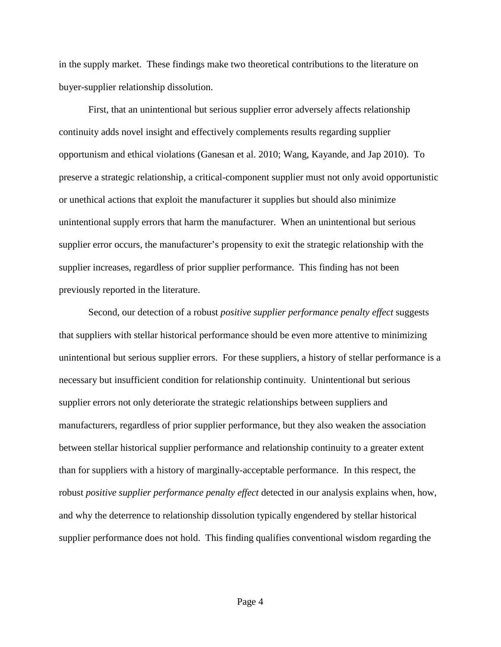in the supply market. These findings make two theoretical contributions to the literature on buyer-supplier relationship dissolution.

First, that an unintentional but serious supplier error adversely affects relationship continuity adds novel insight and effectively complements results regarding supplier opportunism and ethical violations (Ganesan et al. 2010; Wang, Kayande, and Jap 2010). To preserve a strategic relationship, a critical-component supplier must not only avoid opportunistic or unethical actions that exploit the manufacturer it supplies but should also minimize unintentional supply errors that harm the manufacturer. When an unintentional but serious supplier error occurs, the manufacturer's propensity to exit the strategic relationship with the supplier increases, regardless of prior supplier performance. This finding has not been previously reported in the literature.

Second, our detection of a robust *positive supplier performance penalty effect* suggests that suppliers with stellar historical performance should be even more attentive to minimizing unintentional but serious supplier errors. For these suppliers, a history of stellar performance is a necessary but insufficient condition for relationship continuity. Unintentional but serious supplier errors not only deteriorate the strategic relationships between suppliers and manufacturers, regardless of prior supplier performance, but they also weaken the association between stellar historical supplier performance and relationship continuity to a greater extent than for suppliers with a history of marginally-acceptable performance. In this respect, the robust *positive supplier performance penalty effect* detected in our analysis explains when, how, and why the deterrence to relationship dissolution typically engendered by stellar historical supplier performance does not hold. This finding qualifies conventional wisdom regarding the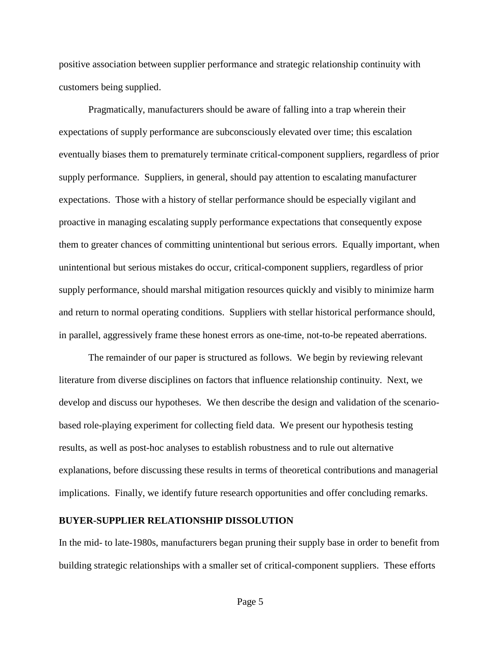positive association between supplier performance and strategic relationship continuity with customers being supplied.

Pragmatically, manufacturers should be aware of falling into a trap wherein their expectations of supply performance are subconsciously elevated over time; this escalation eventually biases them to prematurely terminate critical-component suppliers, regardless of prior supply performance. Suppliers, in general, should pay attention to escalating manufacturer expectations. Those with a history of stellar performance should be especially vigilant and proactive in managing escalating supply performance expectations that consequently expose them to greater chances of committing unintentional but serious errors. Equally important, when unintentional but serious mistakes do occur, critical-component suppliers, regardless of prior supply performance, should marshal mitigation resources quickly and visibly to minimize harm and return to normal operating conditions. Suppliers with stellar historical performance should, in parallel, aggressively frame these honest errors as one-time, not-to-be repeated aberrations.

The remainder of our paper is structured as follows. We begin by reviewing relevant literature from diverse disciplines on factors that influence relationship continuity. Next, we develop and discuss our hypotheses. We then describe the design and validation of the scenariobased role-playing experiment for collecting field data. We present our hypothesis testing results, as well as post-hoc analyses to establish robustness and to rule out alternative explanations, before discussing these results in terms of theoretical contributions and managerial implications. Finally, we identify future research opportunities and offer concluding remarks.

#### **BUYER-SUPPLIER RELATIONSHIP DISSOLUTION**

In the mid- to late-1980s, manufacturers began pruning their supply base in order to benefit from building strategic relationships with a smaller set of critical-component suppliers. These efforts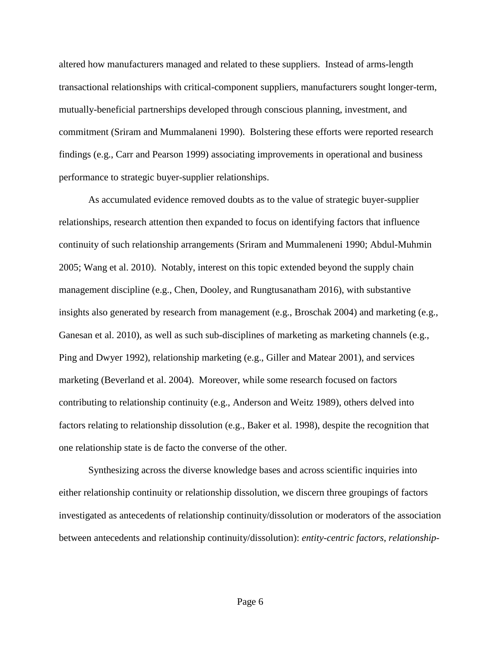altered how manufacturers managed and related to these suppliers. Instead of arms-length transactional relationships with critical-component suppliers, manufacturers sought longer-term, mutually-beneficial partnerships developed through conscious planning, investment, and commitment (Sriram and Mummalaneni 1990). Bolstering these efforts were reported research findings (e.g., Carr and Pearson 1999) associating improvements in operational and business performance to strategic buyer-supplier relationships.

As accumulated evidence removed doubts as to the value of strategic buyer-supplier relationships, research attention then expanded to focus on identifying factors that influence continuity of such relationship arrangements (Sriram and Mummaleneni 1990; Abdul-Muhmin 2005; Wang et al. 2010). Notably, interest on this topic extended beyond the supply chain management discipline (e.g., Chen, Dooley, and Rungtusanatham 2016), with substantive insights also generated by research from management (e.g., Broschak 2004) and marketing (e.g., Ganesan et al. 2010), as well as such sub-disciplines of marketing as marketing channels (e.g., Ping and Dwyer 1992), relationship marketing (e.g., Giller and Matear 2001), and services marketing (Beverland et al. 2004). Moreover, while some research focused on factors contributing to relationship continuity (e.g., Anderson and Weitz 1989), others delved into factors relating to relationship dissolution (e.g., Baker et al. 1998), despite the recognition that one relationship state is de facto the converse of the other.

Synthesizing across the diverse knowledge bases and across scientific inquiries into either relationship continuity or relationship dissolution, we discern three groupings of factors investigated as antecedents of relationship continuity/dissolution or moderators of the association between antecedents and relationship continuity/dissolution): *entity-centric factors*, *relationship-*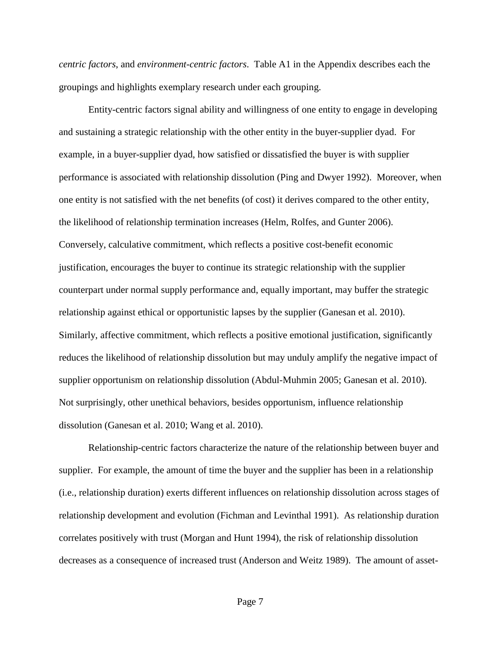*centric factors*, and *environment-centric factors*. Table A1 in the Appendix describes each the groupings and highlights exemplary research under each grouping.

Entity-centric factors signal ability and willingness of one entity to engage in developing and sustaining a strategic relationship with the other entity in the buyer-supplier dyad. For example, in a buyer-supplier dyad, how satisfied or dissatisfied the buyer is with supplier performance is associated with relationship dissolution (Ping and Dwyer 1992). Moreover, when one entity is not satisfied with the net benefits (of cost) it derives compared to the other entity, the likelihood of relationship termination increases (Helm, Rolfes, and Gunter 2006). Conversely, calculative commitment, which reflects a positive cost-benefit economic justification, encourages the buyer to continue its strategic relationship with the supplier counterpart under normal supply performance and, equally important, may buffer the strategic relationship against ethical or opportunistic lapses by the supplier (Ganesan et al. 2010). Similarly, affective commitment, which reflects a positive emotional justification, significantly reduces the likelihood of relationship dissolution but may unduly amplify the negative impact of supplier opportunism on relationship dissolution (Abdul-Muhmin 2005; Ganesan et al. 2010). Not surprisingly, other unethical behaviors, besides opportunism, influence relationship dissolution (Ganesan et al. 2010; Wang et al. 2010).

Relationship-centric factors characterize the nature of the relationship between buyer and supplier. For example, the amount of time the buyer and the supplier has been in a relationship (i.e., relationship duration) exerts different influences on relationship dissolution across stages of relationship development and evolution (Fichman and Levinthal 1991). As relationship duration correlates positively with trust (Morgan and Hunt 1994), the risk of relationship dissolution decreases as a consequence of increased trust (Anderson and Weitz 1989). The amount of asset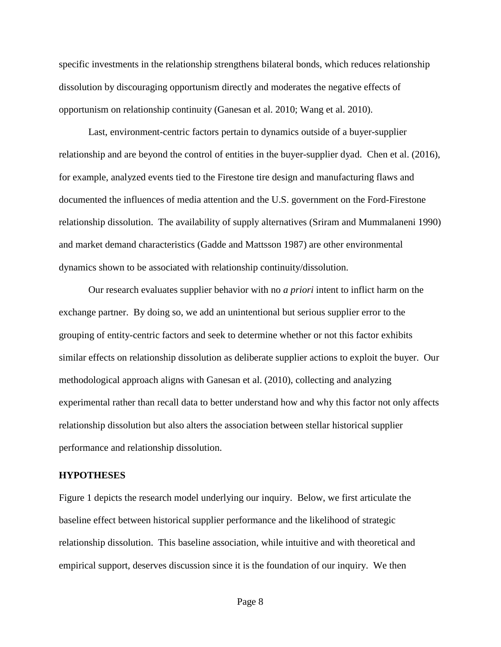specific investments in the relationship strengthens bilateral bonds, which reduces relationship dissolution by discouraging opportunism directly and moderates the negative effects of opportunism on relationship continuity (Ganesan et al. 2010; Wang et al. 2010).

Last, environment-centric factors pertain to dynamics outside of a buyer-supplier relationship and are beyond the control of entities in the buyer-supplier dyad. Chen et al. (2016), for example, analyzed events tied to the Firestone tire design and manufacturing flaws and documented the influences of media attention and the U.S. government on the Ford-Firestone relationship dissolution. The availability of supply alternatives (Sriram and Mummalaneni 1990) and market demand characteristics (Gadde and Mattsson 1987) are other environmental dynamics shown to be associated with relationship continuity/dissolution.

Our research evaluates supplier behavior with no *a priori* intent to inflict harm on the exchange partner. By doing so, we add an unintentional but serious supplier error to the grouping of entity-centric factors and seek to determine whether or not this factor exhibits similar effects on relationship dissolution as deliberate supplier actions to exploit the buyer. Our methodological approach aligns with Ganesan et al. (2010), collecting and analyzing experimental rather than recall data to better understand how and why this factor not only affects relationship dissolution but also alters the association between stellar historical supplier performance and relationship dissolution.

#### **HYPOTHESES**

Figure 1 depicts the research model underlying our inquiry. Below, we first articulate the baseline effect between historical supplier performance and the likelihood of strategic relationship dissolution. This baseline association, while intuitive and with theoretical and empirical support, deserves discussion since it is the foundation of our inquiry. We then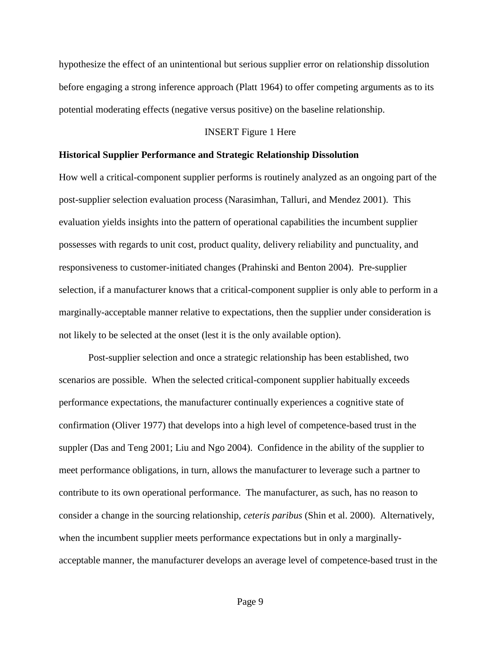hypothesize the effect of an unintentional but serious supplier error on relationship dissolution before engaging a strong inference approach (Platt 1964) to offer competing arguments as to its potential moderating effects (negative versus positive) on the baseline relationship.

#### INSERT Figure 1 Here

#### **Historical Supplier Performance and Strategic Relationship Dissolution**

How well a critical-component supplier performs is routinely analyzed as an ongoing part of the post-supplier selection evaluation process (Narasimhan, Talluri, and Mendez 2001). This evaluation yields insights into the pattern of operational capabilities the incumbent supplier possesses with regards to unit cost, product quality, delivery reliability and punctuality, and responsiveness to customer-initiated changes (Prahinski and Benton 2004). Pre-supplier selection, if a manufacturer knows that a critical-component supplier is only able to perform in a marginally-acceptable manner relative to expectations, then the supplier under consideration is not likely to be selected at the onset (lest it is the only available option).

Post-supplier selection and once a strategic relationship has been established, two scenarios are possible. When the selected critical-component supplier habitually exceeds performance expectations, the manufacturer continually experiences a cognitive state of confirmation (Oliver 1977) that develops into a high level of competence-based trust in the suppler (Das and Teng 2001; Liu and Ngo 2004). Confidence in the ability of the supplier to meet performance obligations, in turn, allows the manufacturer to leverage such a partner to contribute to its own operational performance. The manufacturer, as such, has no reason to consider a change in the sourcing relationship, *ceteris paribus* (Shin et al. 2000). Alternatively, when the incumbent supplier meets performance expectations but in only a marginallyacceptable manner, the manufacturer develops an average level of competence-based trust in the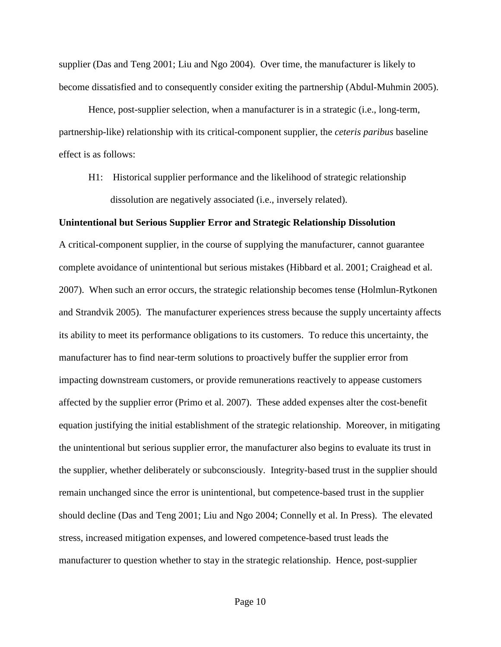supplier (Das and Teng 2001; Liu and Ngo 2004). Over time, the manufacturer is likely to become dissatisfied and to consequently consider exiting the partnership (Abdul-Muhmin 2005).

Hence, post-supplier selection, when a manufacturer is in a strategic (i.e., long-term, partnership-like) relationship with its critical-component supplier, the *ceteris paribus* baseline effect is as follows:

H1: Historical supplier performance and the likelihood of strategic relationship dissolution are negatively associated (i.e., inversely related).

## **Unintentional but Serious Supplier Error and Strategic Relationship Dissolution**

A critical-component supplier, in the course of supplying the manufacturer, cannot guarantee complete avoidance of unintentional but serious mistakes (Hibbard et al. 2001; Craighead et al. 2007). When such an error occurs, the strategic relationship becomes tense (Holmlun-Rytkonen and Strandvik 2005). The manufacturer experiences stress because the supply uncertainty affects its ability to meet its performance obligations to its customers. To reduce this uncertainty, the manufacturer has to find near-term solutions to proactively buffer the supplier error from impacting downstream customers, or provide remunerations reactively to appease customers affected by the supplier error (Primo et al. 2007). These added expenses alter the cost-benefit equation justifying the initial establishment of the strategic relationship. Moreover, in mitigating the unintentional but serious supplier error, the manufacturer also begins to evaluate its trust in the supplier, whether deliberately or subconsciously. Integrity-based trust in the supplier should remain unchanged since the error is unintentional, but competence-based trust in the supplier should decline (Das and Teng 2001; Liu and Ngo 2004; Connelly et al. In Press). The elevated stress, increased mitigation expenses, and lowered competence-based trust leads the manufacturer to question whether to stay in the strategic relationship. Hence, post-supplier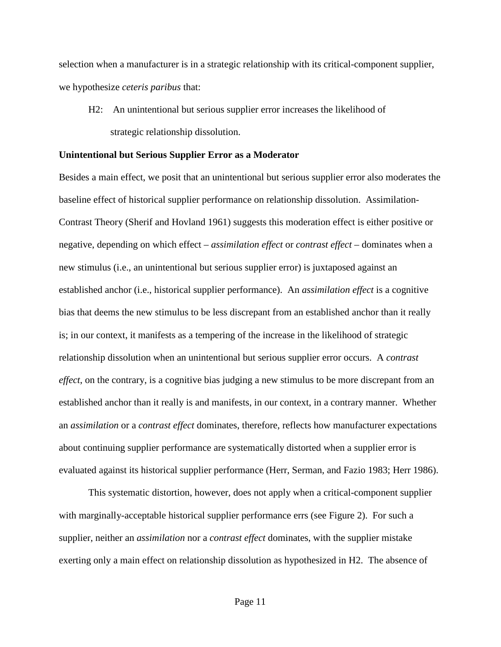selection when a manufacturer is in a strategic relationship with its critical-component supplier, we hypothesize *ceteris paribus* that:

H2: An unintentional but serious supplier error increases the likelihood of strategic relationship dissolution.

#### **Unintentional but Serious Supplier Error as a Moderator**

Besides a main effect, we posit that an unintentional but serious supplier error also moderates the baseline effect of historical supplier performance on relationship dissolution. Assimilation-Contrast Theory (Sherif and Hovland 1961) suggests this moderation effect is either positive or negative, depending on which effect – *assimilation effect* or *contrast effect* – dominates when a new stimulus (i.e., an unintentional but serious supplier error) is juxtaposed against an established anchor (i.e., historical supplier performance). An *assimilation effect* is a cognitive bias that deems the new stimulus to be less discrepant from an established anchor than it really is; in our context, it manifests as a tempering of the increase in the likelihood of strategic relationship dissolution when an unintentional but serious supplier error occurs. A *contrast effect*, on the contrary, is a cognitive bias judging a new stimulus to be more discrepant from an established anchor than it really is and manifests, in our context, in a contrary manner. Whether an *assimilation* or a *contrast effect* dominates, therefore, reflects how manufacturer expectations about continuing supplier performance are systematically distorted when a supplier error is evaluated against its historical supplier performance (Herr, Serman, and Fazio 1983; Herr 1986).

This systematic distortion, however, does not apply when a critical-component supplier with marginally-acceptable historical supplier performance errs (see Figure 2). For such a supplier, neither an *assimilation* nor a *contrast effect* dominates, with the supplier mistake exerting only a main effect on relationship dissolution as hypothesized in H2. The absence of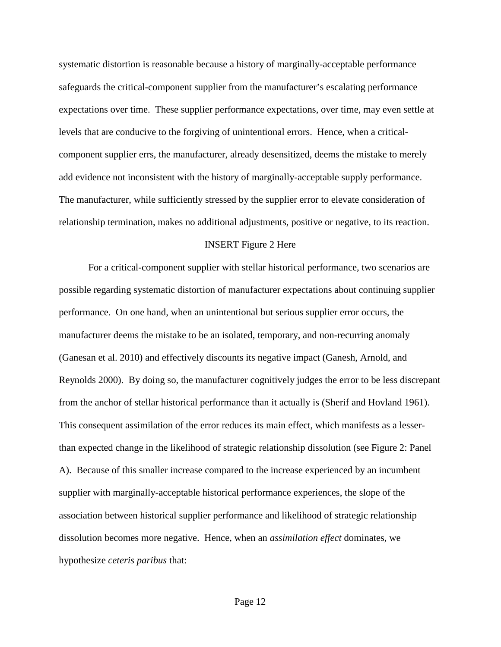systematic distortion is reasonable because a history of marginally-acceptable performance safeguards the critical-component supplier from the manufacturer's escalating performance expectations over time. These supplier performance expectations, over time, may even settle at levels that are conducive to the forgiving of unintentional errors. Hence, when a criticalcomponent supplier errs, the manufacturer, already desensitized, deems the mistake to merely add evidence not inconsistent with the history of marginally-acceptable supply performance. The manufacturer, while sufficiently stressed by the supplier error to elevate consideration of relationship termination, makes no additional adjustments, positive or negative, to its reaction.

#### INSERT Figure 2 Here

For a critical-component supplier with stellar historical performance, two scenarios are possible regarding systematic distortion of manufacturer expectations about continuing supplier performance. On one hand, when an unintentional but serious supplier error occurs, the manufacturer deems the mistake to be an isolated, temporary, and non-recurring anomaly (Ganesan et al. 2010) and effectively discounts its negative impact (Ganesh, Arnold, and Reynolds 2000). By doing so, the manufacturer cognitively judges the error to be less discrepant from the anchor of stellar historical performance than it actually is (Sherif and Hovland 1961). This consequent assimilation of the error reduces its main effect, which manifests as a lesserthan expected change in the likelihood of strategic relationship dissolution (see Figure 2: Panel A). Because of this smaller increase compared to the increase experienced by an incumbent supplier with marginally-acceptable historical performance experiences, the slope of the association between historical supplier performance and likelihood of strategic relationship dissolution becomes more negative. Hence, when an *assimilation effect* dominates, we hypothesize *ceteris paribus* that: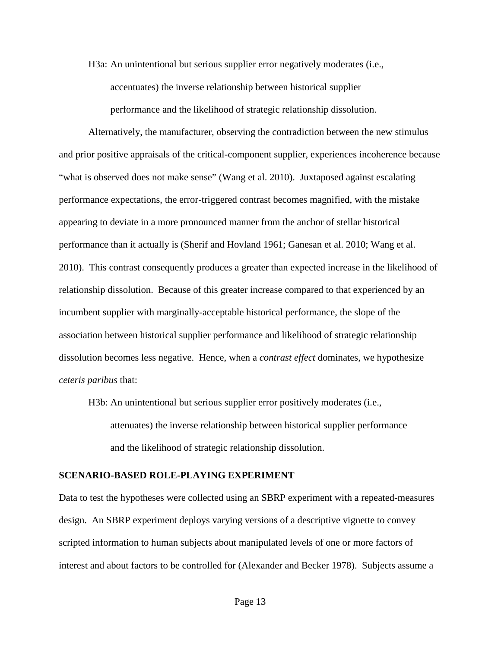H3a: An unintentional but serious supplier error negatively moderates (i.e., accentuates) the inverse relationship between historical supplier performance and the likelihood of strategic relationship dissolution.

Alternatively, the manufacturer, observing the contradiction between the new stimulus and prior positive appraisals of the critical-component supplier, experiences incoherence because "what is observed does not make sense" (Wang et al. 2010). Juxtaposed against escalating performance expectations, the error-triggered contrast becomes magnified, with the mistake appearing to deviate in a more pronounced manner from the anchor of stellar historical performance than it actually is (Sherif and Hovland 1961; Ganesan et al. 2010; Wang et al. 2010). This contrast consequently produces a greater than expected increase in the likelihood of relationship dissolution. Because of this greater increase compared to that experienced by an incumbent supplier with marginally-acceptable historical performance, the slope of the association between historical supplier performance and likelihood of strategic relationship dissolution becomes less negative. Hence, when a *contrast effect* dominates, we hypothesize *ceteris paribus* that:

H3b: An unintentional but serious supplier error positively moderates (i.e., attenuates) the inverse relationship between historical supplier performance and the likelihood of strategic relationship dissolution.

## **SCENARIO-BASED ROLE-PLAYING EXPERIMENT**

Data to test the hypotheses were collected using an SBRP experiment with a repeated-measures design. An SBRP experiment deploys varying versions of a descriptive vignette to convey scripted information to human subjects about manipulated levels of one or more factors of interest and about factors to be controlled for (Alexander and Becker 1978). Subjects assume a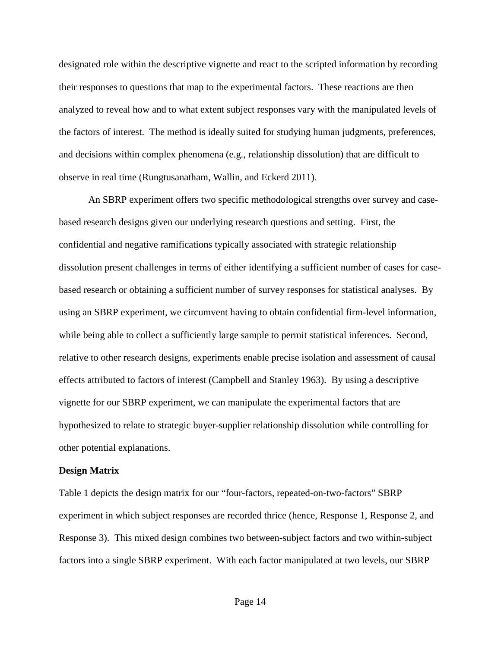designated role within the descriptive vignette and react to the scripted information by recording their responses to questions that map to the experimental factors. These reactions are then analyzed to reveal how and to what extent subject responses vary with the manipulated levels of the factors of interest. The method is ideally suited for studying human judgments, preferences, and decisions within complex phenomena (e.g., relationship dissolution) that are difficult to observe in real time (Rungtusanatham, Wallin, and Eckerd 2011).

An SBRP experiment offers two specific methodological strengths over survey and casebased research designs given our underlying research questions and setting. First, the confidential and negative ramifications typically associated with strategic relationship dissolution present challenges in terms of either identifying a sufficient number of cases for casebased research or obtaining a sufficient number of survey responses for statistical analyses. By using an SBRP experiment, we circumvent having to obtain confidential firm-level information, while being able to collect a sufficiently large sample to permit statistical inferences. Second, relative to other research designs, experiments enable precise isolation and assessment of causal effects attributed to factors of interest (Campbell and Stanley 1963). By using a descriptive vignette for our SBRP experiment, we can manipulate the experimental factors that are hypothesized to relate to strategic buyer-supplier relationship dissolution while controlling for other potential explanations.

#### **Design Matrix**

Table 1 depicts the design matrix for our "four-factors, repeated-on-two-factors" SBRP experiment in which subject responses are recorded thrice (hence, Response 1, Response 2, and Response 3). This mixed design combines two between-subject factors and two within-subject factors into a single SBRP experiment. With each factor manipulated at two levels, our SBRP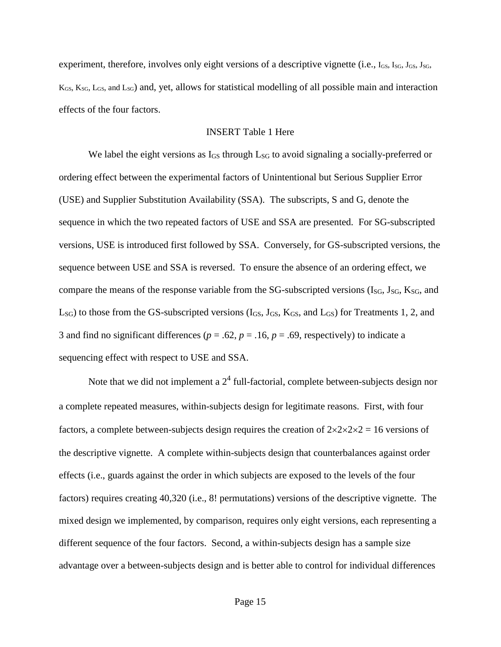experiment, therefore, involves only eight versions of a descriptive vignette (i.e.,  $I_{GS}$ ,  $I_{SG}$ ,  $J_{GS}$ ,  $J_{SG}$ ,  $J_{SG}$ ,  $J_{SG}$ ,  $J_{SG}$ ,  $J_{SG}$ ,  $J_{SG}$ ,  $J_{SG}$ ,  $J_{SG}$ ,  $J_{SG}$ ,  $J_{SG}$ ,  $J_{SG}$ ,  $J_{SG}$ ,  $J_{SG}$ ,  $J_{SG}$ ,  $K_{GS}$ ,  $K_{SG}$ ,  $L_{GS}$ , and  $L_{SG}$ ) and, yet, allows for statistical modelling of all possible main and interaction effects of the four factors.

## INSERT Table 1 Here

We label the eight versions as  $I_{GS}$  through  $L_{SG}$  to avoid signaling a socially-preferred or ordering effect between the experimental factors of Unintentional but Serious Supplier Error (USE) and Supplier Substitution Availability (SSA). The subscripts, S and G, denote the sequence in which the two repeated factors of USE and SSA are presented. For SG-subscripted versions, USE is introduced first followed by SSA. Conversely, for GS-subscripted versions, the sequence between USE and SSA is reversed. To ensure the absence of an ordering effect, we compare the means of the response variable from the  $SG$ -subscripted versions ( $I_{SG}$ ,  $I_{SG}$ ,  $K_{SG}$ , and  $L_{SG}$ ) to those from the GS-subscripted versions ( $I_{GS}$ ,  $I_{GS}$ ,  $K_{GS}$ , and  $L_{GS}$ ) for Treatments 1, 2, and 3 and find no significant differences ( $p = .62$ ,  $p = .16$ ,  $p = .69$ , respectively) to indicate a sequencing effect with respect to USE and SSA.

Note that we did not implement a  $2<sup>4</sup>$  full-factorial, complete between-subjects design nor a complete repeated measures, within-subjects design for legitimate reasons. First, with four factors, a complete between-subjects design requires the creation of  $2 \times 2 \times 2 \times 2 = 16$  versions of the descriptive vignette. A complete within-subjects design that counterbalances against order effects (i.e., guards against the order in which subjects are exposed to the levels of the four factors) requires creating 40,320 (i.e., 8! permutations) versions of the descriptive vignette. The mixed design we implemented, by comparison, requires only eight versions, each representing a different sequence of the four factors. Second, a within-subjects design has a sample size advantage over a between-subjects design and is better able to control for individual differences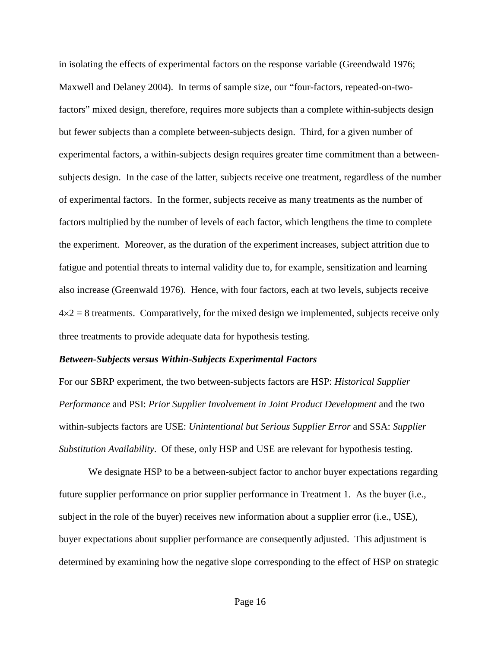in isolating the effects of experimental factors on the response variable (Greendwald 1976; Maxwell and Delaney 2004). In terms of sample size, our "four-factors, repeated-on-twofactors" mixed design, therefore, requires more subjects than a complete within-subjects design but fewer subjects than a complete between-subjects design. Third, for a given number of experimental factors, a within-subjects design requires greater time commitment than a betweensubjects design. In the case of the latter, subjects receive one treatment, regardless of the number of experimental factors. In the former, subjects receive as many treatments as the number of factors multiplied by the number of levels of each factor, which lengthens the time to complete the experiment. Moreover, as the duration of the experiment increases, subject attrition due to fatigue and potential threats to internal validity due to, for example, sensitization and learning also increase (Greenwald 1976). Hence, with four factors, each at two levels, subjects receive  $4\times2=8$  treatments. Comparatively, for the mixed design we implemented, subjects receive only three treatments to provide adequate data for hypothesis testing.

## *Between-Subjects versus Within-Subjects Experimental Factors*

For our SBRP experiment, the two between-subjects factors are HSP: *Historical Supplier Performance* and PSI: *Prior Supplier Involvement in Joint Product Development* and the two within-subjects factors are USE: *Unintentional but Serious Supplier Error* and SSA: *Supplier Substitution Availability*. Of these, only HSP and USE are relevant for hypothesis testing.

We designate HSP to be a between-subject factor to anchor buyer expectations regarding future supplier performance on prior supplier performance in Treatment 1. As the buyer (i.e., subject in the role of the buyer) receives new information about a supplier error (i.e., USE), buyer expectations about supplier performance are consequently adjusted. This adjustment is determined by examining how the negative slope corresponding to the effect of HSP on strategic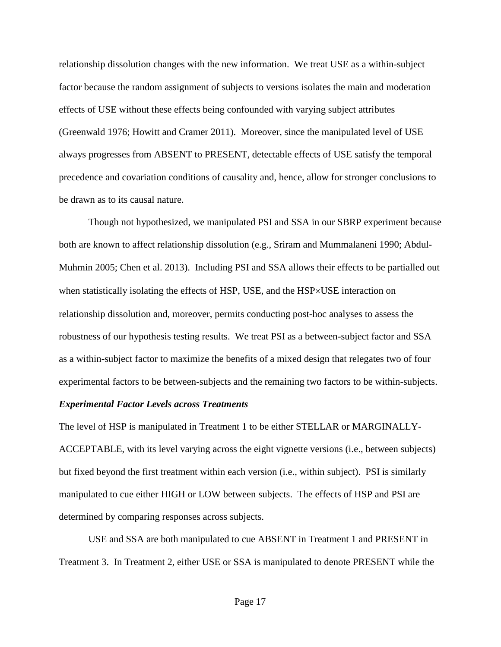relationship dissolution changes with the new information. We treat USE as a within-subject factor because the random assignment of subjects to versions isolates the main and moderation effects of USE without these effects being confounded with varying subject attributes (Greenwald 1976; Howitt and Cramer 2011). Moreover, since the manipulated level of USE always progresses from ABSENT to PRESENT, detectable effects of USE satisfy the temporal precedence and covariation conditions of causality and, hence, allow for stronger conclusions to be drawn as to its causal nature.

Though not hypothesized, we manipulated PSI and SSA in our SBRP experiment because both are known to affect relationship dissolution (e.g., Sriram and Mummalaneni 1990; Abdul-Muhmin 2005; Chen et al. 2013). Including PSI and SSA allows their effects to be partialled out when statistically isolating the effects of HSP, USE, and the HSP×USE interaction on relationship dissolution and, moreover, permits conducting post-hoc analyses to assess the robustness of our hypothesis testing results. We treat PSI as a between-subject factor and SSA as a within-subject factor to maximize the benefits of a mixed design that relegates two of four experimental factors to be between-subjects and the remaining two factors to be within-subjects.

## *Experimental Factor Levels across Treatments*

The level of HSP is manipulated in Treatment 1 to be either STELLAR or MARGINALLY-ACCEPTABLE, with its level varying across the eight vignette versions (i.e., between subjects) but fixed beyond the first treatment within each version (i.e., within subject). PSI is similarly manipulated to cue either HIGH or LOW between subjects. The effects of HSP and PSI are determined by comparing responses across subjects.

USE and SSA are both manipulated to cue ABSENT in Treatment 1 and PRESENT in Treatment 3. In Treatment 2, either USE or SSA is manipulated to denote PRESENT while the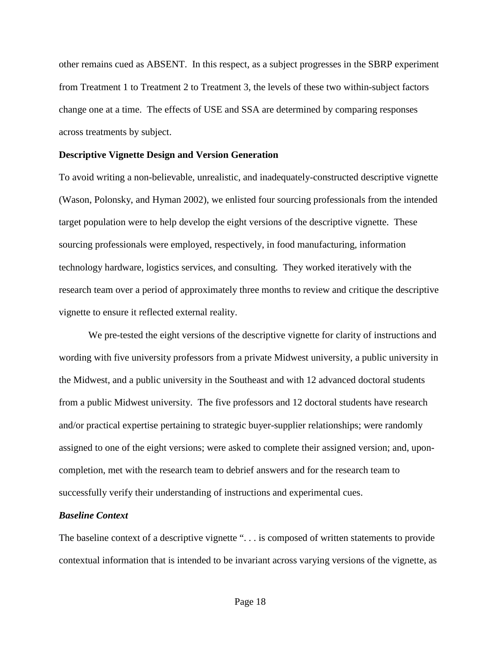other remains cued as ABSENT. In this respect, as a subject progresses in the SBRP experiment from Treatment 1 to Treatment 2 to Treatment 3, the levels of these two within-subject factors change one at a time. The effects of USE and SSA are determined by comparing responses across treatments by subject.

### **Descriptive Vignette Design and Version Generation**

To avoid writing a non-believable, unrealistic, and inadequately-constructed descriptive vignette (Wason, Polonsky, and Hyman 2002), we enlisted four sourcing professionals from the intended target population were to help develop the eight versions of the descriptive vignette. These sourcing professionals were employed, respectively, in food manufacturing, information technology hardware, logistics services, and consulting. They worked iteratively with the research team over a period of approximately three months to review and critique the descriptive vignette to ensure it reflected external reality.

We pre-tested the eight versions of the descriptive vignette for clarity of instructions and wording with five university professors from a private Midwest university, a public university in the Midwest, and a public university in the Southeast and with 12 advanced doctoral students from a public Midwest university. The five professors and 12 doctoral students have research and/or practical expertise pertaining to strategic buyer-supplier relationships; were randomly assigned to one of the eight versions; were asked to complete their assigned version; and, uponcompletion, met with the research team to debrief answers and for the research team to successfully verify their understanding of instructions and experimental cues.

## *Baseline Context*

The baseline context of a descriptive vignette ". . . is composed of written statements to provide contextual information that is intended to be invariant across varying versions of the vignette, as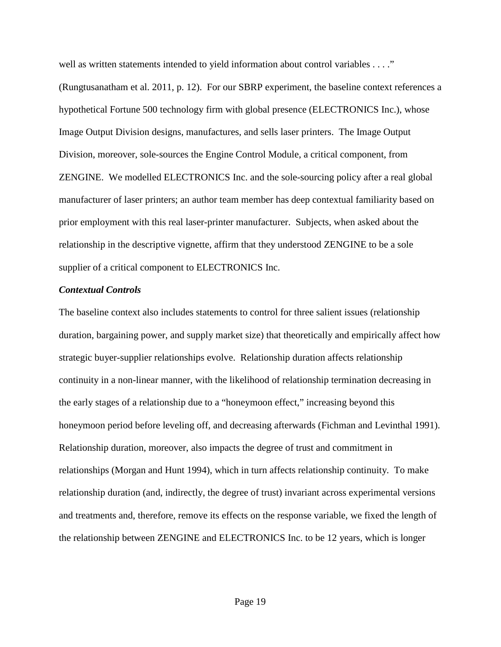well as written statements intended to yield information about control variables . . . ."

(Rungtusanatham et al. 2011, p. 12). For our SBRP experiment, the baseline context references a hypothetical Fortune 500 technology firm with global presence (ELECTRONICS Inc.), whose Image Output Division designs, manufactures, and sells laser printers. The Image Output Division, moreover, sole-sources the Engine Control Module, a critical component, from ZENGINE. We modelled ELECTRONICS Inc. and the sole-sourcing policy after a real global manufacturer of laser printers; an author team member has deep contextual familiarity based on prior employment with this real laser-printer manufacturer. Subjects, when asked about the relationship in the descriptive vignette, affirm that they understood ZENGINE to be a sole supplier of a critical component to ELECTRONICS Inc.

#### *Contextual Controls*

The baseline context also includes statements to control for three salient issues (relationship duration, bargaining power, and supply market size) that theoretically and empirically affect how strategic buyer-supplier relationships evolve. Relationship duration affects relationship continuity in a non-linear manner, with the likelihood of relationship termination decreasing in the early stages of a relationship due to a "honeymoon effect," increasing beyond this honeymoon period before leveling off, and decreasing afterwards (Fichman and Levinthal 1991). Relationship duration, moreover, also impacts the degree of trust and commitment in relationships (Morgan and Hunt 1994), which in turn affects relationship continuity. To make relationship duration (and, indirectly, the degree of trust) invariant across experimental versions and treatments and, therefore, remove its effects on the response variable, we fixed the length of the relationship between ZENGINE and ELECTRONICS Inc. to be 12 years, which is longer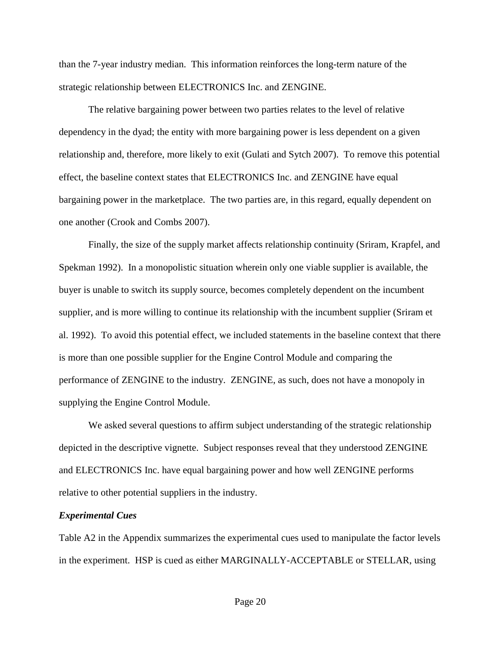than the 7-year industry median. This information reinforces the long-term nature of the strategic relationship between ELECTRONICS Inc. and ZENGINE.

The relative bargaining power between two parties relates to the level of relative dependency in the dyad; the entity with more bargaining power is less dependent on a given relationship and, therefore, more likely to exit (Gulati and Sytch 2007). To remove this potential effect, the baseline context states that ELECTRONICS Inc. and ZENGINE have equal bargaining power in the marketplace. The two parties are, in this regard, equally dependent on one another (Crook and Combs 2007).

Finally, the size of the supply market affects relationship continuity (Sriram, Krapfel, and Spekman 1992). In a monopolistic situation wherein only one viable supplier is available, the buyer is unable to switch its supply source, becomes completely dependent on the incumbent supplier, and is more willing to continue its relationship with the incumbent supplier (Sriram et al. 1992). To avoid this potential effect, we included statements in the baseline context that there is more than one possible supplier for the Engine Control Module and comparing the performance of ZENGINE to the industry. ZENGINE, as such, does not have a monopoly in supplying the Engine Control Module.

We asked several questions to affirm subject understanding of the strategic relationship depicted in the descriptive vignette. Subject responses reveal that they understood ZENGINE and ELECTRONICS Inc. have equal bargaining power and how well ZENGINE performs relative to other potential suppliers in the industry.

#### *Experimental Cues*

Table A2 in the Appendix summarizes the experimental cues used to manipulate the factor levels in the experiment. HSP is cued as either MARGINALLY-ACCEPTABLE or STELLAR, using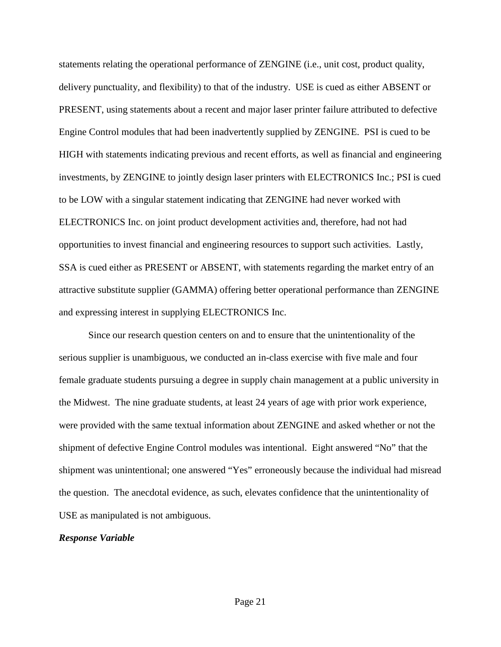statements relating the operational performance of ZENGINE (i.e., unit cost, product quality, delivery punctuality, and flexibility) to that of the industry. USE is cued as either ABSENT or PRESENT, using statements about a recent and major laser printer failure attributed to defective Engine Control modules that had been inadvertently supplied by ZENGINE. PSI is cued to be HIGH with statements indicating previous and recent efforts, as well as financial and engineering investments, by ZENGINE to jointly design laser printers with ELECTRONICS Inc.; PSI is cued to be LOW with a singular statement indicating that ZENGINE had never worked with ELECTRONICS Inc. on joint product development activities and, therefore, had not had opportunities to invest financial and engineering resources to support such activities. Lastly, SSA is cued either as PRESENT or ABSENT, with statements regarding the market entry of an attractive substitute supplier (GAMMA) offering better operational performance than ZENGINE and expressing interest in supplying ELECTRONICS Inc.

Since our research question centers on and to ensure that the unintentionality of the serious supplier is unambiguous, we conducted an in-class exercise with five male and four female graduate students pursuing a degree in supply chain management at a public university in the Midwest. The nine graduate students, at least 24 years of age with prior work experience, were provided with the same textual information about ZENGINE and asked whether or not the shipment of defective Engine Control modules was intentional. Eight answered "No" that the shipment was unintentional; one answered "Yes" erroneously because the individual had misread the question. The anecdotal evidence, as such, elevates confidence that the unintentionality of USE as manipulated is not ambiguous.

## *Response Variable*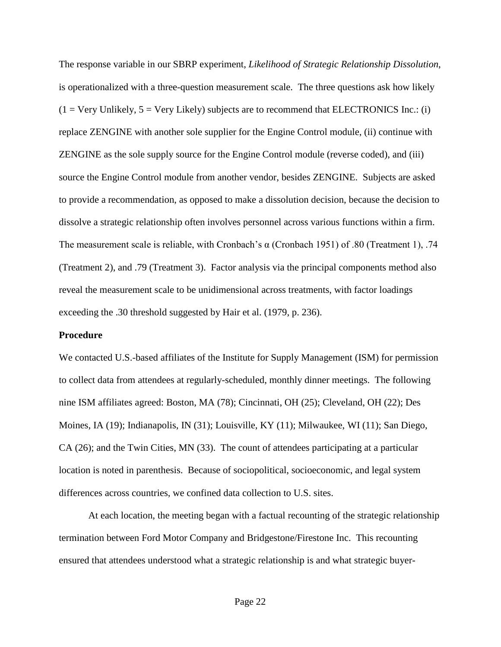The response variable in our SBRP experiment, *Likelihood of Strategic Relationship Dissolution*, is operationalized with a three-question measurement scale. The three questions ask how likely  $(1 = \text{Very Unlikely}, 5 = \text{Very Likely})$  subjects are to recommend that ELECTRONICS Inc.: (i) replace ZENGINE with another sole supplier for the Engine Control module, (ii) continue with ZENGINE as the sole supply source for the Engine Control module (reverse coded), and (iii) source the Engine Control module from another vendor, besides ZENGINE. Subjects are asked to provide a recommendation, as opposed to make a dissolution decision, because the decision to dissolve a strategic relationship often involves personnel across various functions within a firm. The measurement scale is reliable, with Cronbach's  $\alpha$  (Cronbach 1951) of .80 (Treatment 1), .74 (Treatment 2), and .79 (Treatment 3). Factor analysis via the principal components method also reveal the measurement scale to be unidimensional across treatments, with factor loadings exceeding the .30 threshold suggested by Hair et al. (1979, p. 236).

## **Procedure**

We contacted U.S.-based affiliates of the Institute for Supply Management (ISM) for permission to collect data from attendees at regularly-scheduled, monthly dinner meetings. The following nine ISM affiliates agreed: Boston, MA (78); Cincinnati, OH (25); Cleveland, OH (22); Des Moines, IA (19); Indianapolis, IN (31); Louisville, KY (11); Milwaukee, WI (11); San Diego, CA (26); and the Twin Cities, MN (33). The count of attendees participating at a particular location is noted in parenthesis. Because of sociopolitical, socioeconomic, and legal system differences across countries, we confined data collection to U.S. sites.

At each location, the meeting began with a factual recounting of the strategic relationship termination between Ford Motor Company and Bridgestone/Firestone Inc. This recounting ensured that attendees understood what a strategic relationship is and what strategic buyer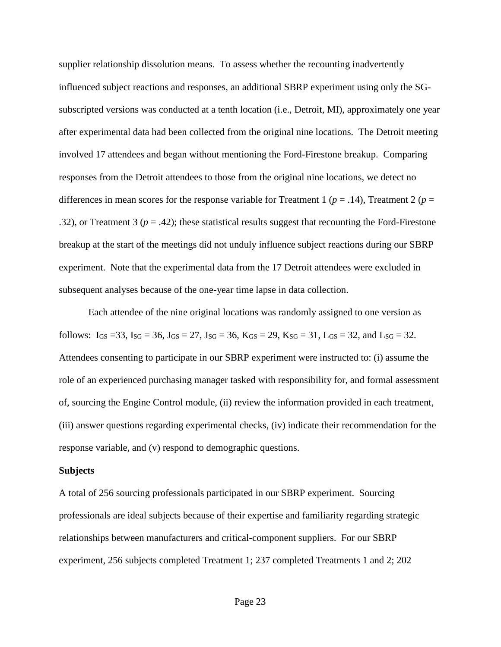supplier relationship dissolution means. To assess whether the recounting inadvertently influenced subject reactions and responses, an additional SBRP experiment using only the SGsubscripted versions was conducted at a tenth location (i.e., Detroit, MI), approximately one year after experimental data had been collected from the original nine locations. The Detroit meeting involved 17 attendees and began without mentioning the Ford-Firestone breakup. Comparing responses from the Detroit attendees to those from the original nine locations, we detect no differences in mean scores for the response variable for Treatment 1 ( $p = .14$ ), Treatment 2 ( $p =$ .32), or Treatment 3 (*p* = .42); these statistical results suggest that recounting the Ford-Firestone breakup at the start of the meetings did not unduly influence subject reactions during our SBRP experiment. Note that the experimental data from the 17 Detroit attendees were excluded in subsequent analyses because of the one-year time lapse in data collection.

Each attendee of the nine original locations was randomly assigned to one version as follows:  $I_{GS} = 33$ ,  $I_{SG} = 36$ ,  $J_{GS} = 27$ ,  $J_{SG} = 36$ ,  $K_{GS} = 29$ ,  $K_{SG} = 31$ ,  $L_{GS} = 32$ , and  $L_{SG} = 32$ . Attendees consenting to participate in our SBRP experiment were instructed to: (i) assume the role of an experienced purchasing manager tasked with responsibility for, and formal assessment of, sourcing the Engine Control module, (ii) review the information provided in each treatment, (iii) answer questions regarding experimental checks, (iv) indicate their recommendation for the response variable, and (v) respond to demographic questions.

#### **Subjects**

A total of 256 sourcing professionals participated in our SBRP experiment. Sourcing professionals are ideal subjects because of their expertise and familiarity regarding strategic relationships between manufacturers and critical-component suppliers. For our SBRP experiment, 256 subjects completed Treatment 1; 237 completed Treatments 1 and 2; 202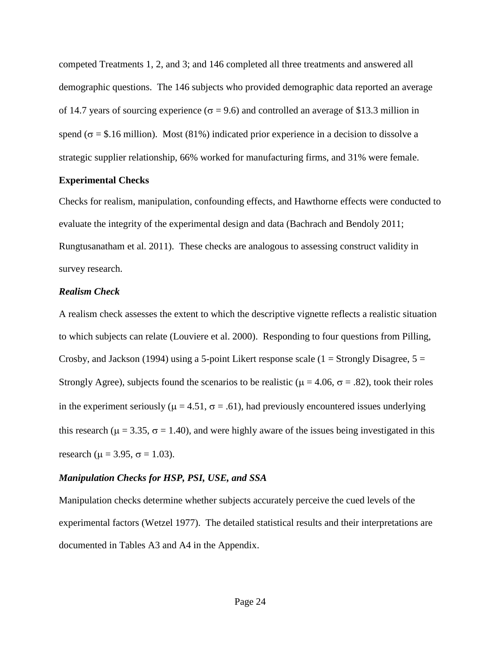competed Treatments 1, 2, and 3; and 146 completed all three treatments and answered all demographic questions. The 146 subjects who provided demographic data reported an average of 14.7 years of sourcing experience ( $\sigma$  = 9.6) and controlled an average of \$13.3 million in spend ( $\sigma$  = \$.16 million). Most (81%) indicated prior experience in a decision to dissolve a strategic supplier relationship, 66% worked for manufacturing firms, and 31% were female.

## **Experimental Checks**

Checks for realism, manipulation, confounding effects, and Hawthorne effects were conducted to evaluate the integrity of the experimental design and data (Bachrach and Bendoly 2011; Rungtusanatham et al. 2011). These checks are analogous to assessing construct validity in survey research.

### *Realism Check*

A realism check assesses the extent to which the descriptive vignette reflects a realistic situation to which subjects can relate (Louviere et al. 2000). Responding to four questions from Pilling, Crosby, and Jackson (1994) using a 5-point Likert response scale ( $1 =$  Strongly Disagree,  $5 =$ Strongly Agree), subjects found the scenarios to be realistic ( $\mu$  = 4.06,  $\sigma$  = .82), took their roles in the experiment seriously ( $\mu$  = 4.51,  $\sigma$  = .61), had previously encountered issues underlying this research ( $\mu$  = 3.35,  $\sigma$  = 1.40), and were highly aware of the issues being investigated in this research ( $\mu$  = 3.95,  $\sigma$  = 1.03).

#### *Manipulation Checks for HSP, PSI, USE, and SSA*

Manipulation checks determine whether subjects accurately perceive the cued levels of the experimental factors (Wetzel 1977). The detailed statistical results and their interpretations are documented in Tables A3 and A4 in the Appendix.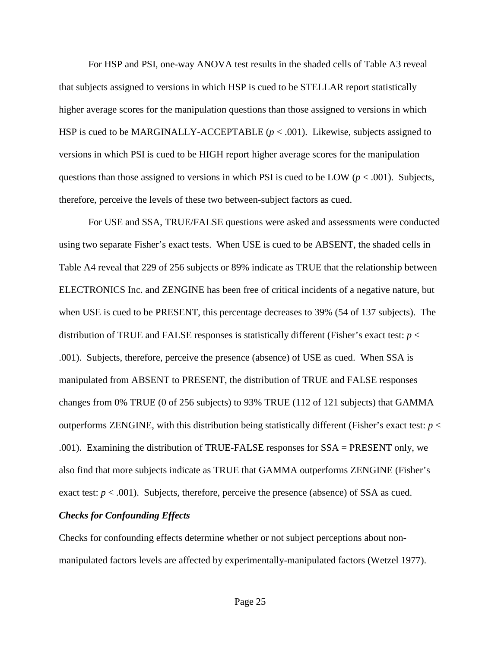For HSP and PSI, one-way ANOVA test results in the shaded cells of Table A3 reveal that subjects assigned to versions in which HSP is cued to be STELLAR report statistically higher average scores for the manipulation questions than those assigned to versions in which HSP is cued to be MARGINALLY-ACCEPTABLE  $(p < .001)$ . Likewise, subjects assigned to versions in which PSI is cued to be HIGH report higher average scores for the manipulation questions than those assigned to versions in which PSI is cued to be LOW ( $p < .001$ ). Subjects, therefore, perceive the levels of these two between-subject factors as cued.

For USE and SSA, TRUE/FALSE questions were asked and assessments were conducted using two separate Fisher's exact tests. When USE is cued to be ABSENT, the shaded cells in Table A4 reveal that 229 of 256 subjects or 89% indicate as TRUE that the relationship between ELECTRONICS Inc. and ZENGINE has been free of critical incidents of a negative nature, but when USE is cued to be PRESENT, this percentage decreases to 39% (54 of 137 subjects). The distribution of TRUE and FALSE responses is statistically different (Fisher's exact test: *p* < .001). Subjects, therefore, perceive the presence (absence) of USE as cued. When SSA is manipulated from ABSENT to PRESENT, the distribution of TRUE and FALSE responses changes from 0% TRUE (0 of 256 subjects) to 93% TRUE (112 of 121 subjects) that GAMMA outperforms ZENGINE, with this distribution being statistically different (Fisher's exact test:  $p <$ .001). Examining the distribution of TRUE-FALSE responses for SSA = PRESENT only, we also find that more subjects indicate as TRUE that GAMMA outperforms ZENGINE (Fisher's exact test:  $p < .001$ ). Subjects, therefore, perceive the presence (absence) of SSA as cued.

## *Checks for Confounding Effects*

Checks for confounding effects determine whether or not subject perceptions about nonmanipulated factors levels are affected by experimentally-manipulated factors (Wetzel 1977).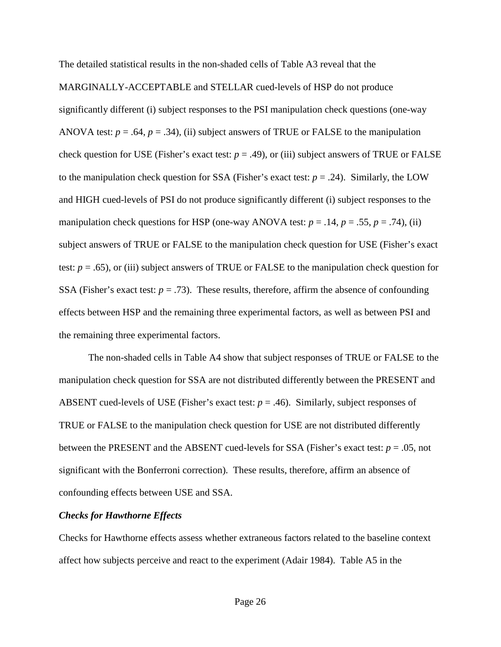The detailed statistical results in the non-shaded cells of Table A3 reveal that the MARGINALLY-ACCEPTABLE and STELLAR cued-levels of HSP do not produce significantly different (i) subject responses to the PSI manipulation check questions (one-way ANOVA test:  $p = .64$ ,  $p = .34$ ), (ii) subject answers of TRUE or FALSE to the manipulation check question for USE (Fisher's exact test:  $p = .49$ ), or (iii) subject answers of TRUE or FALSE to the manipulation check question for SSA (Fisher's exact test:  $p = .24$ ). Similarly, the LOW and HIGH cued-levels of PSI do not produce significantly different (i) subject responses to the manipulation check questions for HSP (one-way ANOVA test:  $p = .14$ ,  $p = .55$ ,  $p = .74$ ), (ii) subject answers of TRUE or FALSE to the manipulation check question for USE (Fisher's exact test: *p* = .65), or (iii) subject answers of TRUE or FALSE to the manipulation check question for SSA (Fisher's exact test:  $p = .73$ ). These results, therefore, affirm the absence of confounding effects between HSP and the remaining three experimental factors, as well as between PSI and the remaining three experimental factors.

The non-shaded cells in Table A4 show that subject responses of TRUE or FALSE to the manipulation check question for SSA are not distributed differently between the PRESENT and ABSENT cued-levels of USE (Fisher's exact test:  $p = .46$ ). Similarly, subject responses of TRUE or FALSE to the manipulation check question for USE are not distributed differently between the PRESENT and the ABSENT cued-levels for SSA (Fisher's exact test: *p* = .05, not significant with the Bonferroni correction). These results, therefore, affirm an absence of confounding effects between USE and SSA.

#### *Checks for Hawthorne Effects*

Checks for Hawthorne effects assess whether extraneous factors related to the baseline context affect how subjects perceive and react to the experiment (Adair 1984). Table A5 in the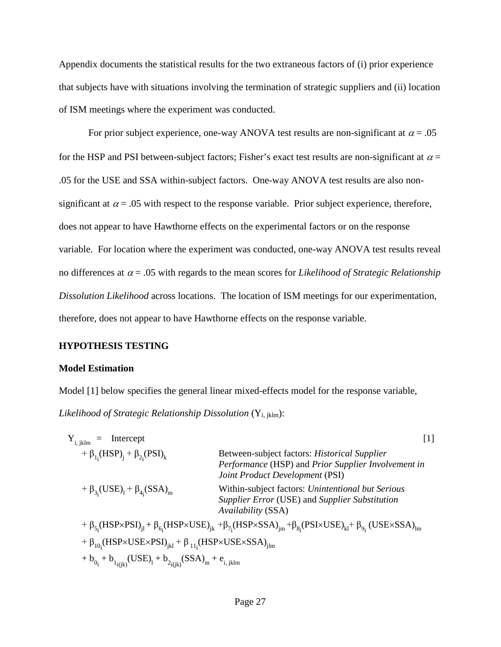Appendix documents the statistical results for the two extraneous factors of (i) prior experience that subjects have with situations involving the termination of strategic suppliers and (ii) location of ISM meetings where the experiment was conducted.

For prior subject experience, one-way ANOVA test results are non-significant at  $\alpha = .05$ for the HSP and PSI between-subject factors; Fisher's exact test results are non-significant at  $\alpha$  = .05 for the USE and SSA within-subject factors. One-way ANOVA test results are also nonsignificant at  $\alpha$  = .05 with respect to the response variable. Prior subject experience, therefore, does not appear to have Hawthorne effects on the experimental factors or on the response variable. For location where the experiment was conducted, one-way ANOVA test results reveal no differences at  $\alpha = .05$  with regards to the mean scores for *Likelihood of Strategic Relationship Dissolution Likelihood* across locations. The location of ISM meetings for our experimentation, therefore, does not appear to have Hawthorne effects on the response variable.

## **HYPOTHESIS TESTING**

## **Model Estimation**

Model [1] below specifies the general linear mixed-effects model for the response variable, Likelihood of Strategic Relationship Dissolution (Y<sub>i, jklm</sub>):

| Intercept<br>$Y_{i, jklm}$<br>$=$                                                                 | $\lceil 1 \rceil$                                                                                                                                                                            |
|---------------------------------------------------------------------------------------------------|----------------------------------------------------------------------------------------------------------------------------------------------------------------------------------------------|
| + $\beta_{1}$ ; (HSP) <sub>i</sub> + $\beta_{2}$ ; (PSI) <sub>k</sub>                             | Between-subject factors: <i>Historical Supplier</i><br>Performance (HSP) and Prior Supplier Involvement in<br>Joint Product Development (PSI)                                                |
| + $\beta_{3}$ (USE) <sub>1</sub> + $\beta_{4}$ (SSA) <sub>m</sub>                                 | Within-subject factors: Unintentional but Serious<br>Supplier Error (USE) and Supplier Substitution<br>Availability (SSA)                                                                    |
|                                                                                                   | $+\beta_{5}$ (HSP×PSI) <sub>il</sub> + $\beta_{6}$ (HSP×USE) <sub>ik</sub> + $\beta_{7}$ (HSP×SSA) <sub>im</sub> + $\beta_{8}$ (PSI×USE) <sub>kl</sub> + $\beta_{9}$ (USE×SSA) <sub>im</sub> |
| + $\beta_{10}$ ; (HSP×USE×PSI) <sub>ikl</sub> + $\beta_{11}$ ; (HSP×USE×SSA) <sub>ilm</sub>       |                                                                                                                                                                                              |
| + $b_{0_i}$ + $b_{1_i(jk)}$ (USE) <sub>1</sub> + $b_{2_i(jk)}$ (SSA) <sub>m</sub> + $e_{i, jklm}$ |                                                                                                                                                                                              |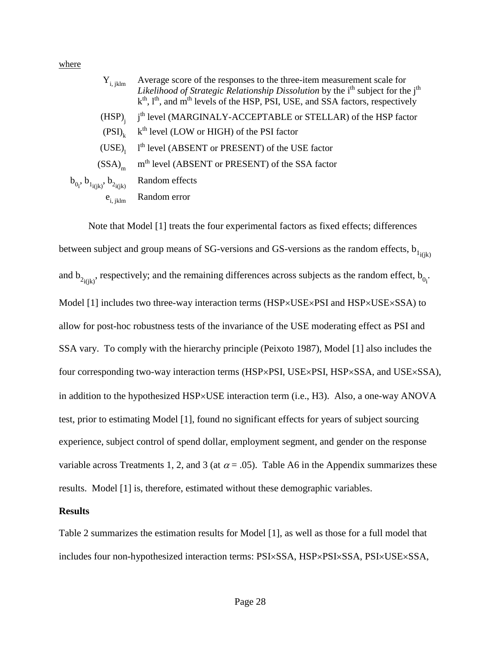where

 $b_{0i}$ 

| $Y_{i, jklm}$            | Average score of the responses to the three-item measurement scale for<br>Likelihood of Strategic Relationship Dissolution by the i <sup>th</sup> subject for the j <sup>th</sup><br>k <sup>th</sup> , l <sup>th</sup> , and m <sup>th</sup> levels of the HSP, PSI, USE, and SSA factors, respectively |
|--------------------------|---------------------------------------------------------------------------------------------------------------------------------------------------------------------------------------------------------------------------------------------------------------------------------------------------------|
| $(HSP)_{i}$              | j <sup>th</sup> level (MARGINALY-ACCEPTABLE or STELLAR) of the HSP factor                                                                                                                                                                                                                               |
| $(PSI)_{k}$              | k <sup>th</sup> level (LOW or HIGH) of the PSI factor                                                                                                                                                                                                                                                   |
| (USE)                    | 1 <sup>th</sup> level (ABSENT or PRESENT) of the USE factor                                                                                                                                                                                                                                             |
| $(SSA)_{m}$              | m <sup>th</sup> level (ABSENT or PRESENT) of the SSA factor                                                                                                                                                                                                                                             |
| , $b_{1i(k)}, b_{2i(k)}$ | Random effects                                                                                                                                                                                                                                                                                          |
|                          | $e_{i,jklm}$ Random error                                                                                                                                                                                                                                                                               |
|                          |                                                                                                                                                                                                                                                                                                         |

Note that Model [1] treats the four experimental factors as fixed effects; differences between subject and group means of SG-versions and GS-versions as the random effects,  $b_{1i(k)}$ and  $b_{2i(jk)}$ , respectively; and the remaining differences across subjects as the random effect,  $b_{0i}$ . Model [1] includes two three-way interaction terms (HSP×USE×PSI and HSP×USE×SSA) to allow for post-hoc robustness tests of the invariance of the USE moderating effect as PSI and SSA vary. To comply with the hierarchy principle (Peixoto 1987), Model [1] also includes the four corresponding two-way interaction terms (HSP×PSI, USE×PSI, HSP×SSA, and USE×SSA), in addition to the hypothesized HSP×USE interaction term (i.e., H3). Also, a one-way ANOVA test, prior to estimating Model [1], found no significant effects for years of subject sourcing experience, subject control of spend dollar, employment segment, and gender on the response variable across Treatments 1, 2, and 3 (at  $\alpha$  = .05). Table A6 in the Appendix summarizes these results. Model [1] is, therefore, estimated without these demographic variables.

#### **Results**

Table 2 summarizes the estimation results for Model [1], as well as those for a full model that includes four non-hypothesized interaction terms: PSI×SSA, HSP×PSI×SSA, PSI×USE×SSA,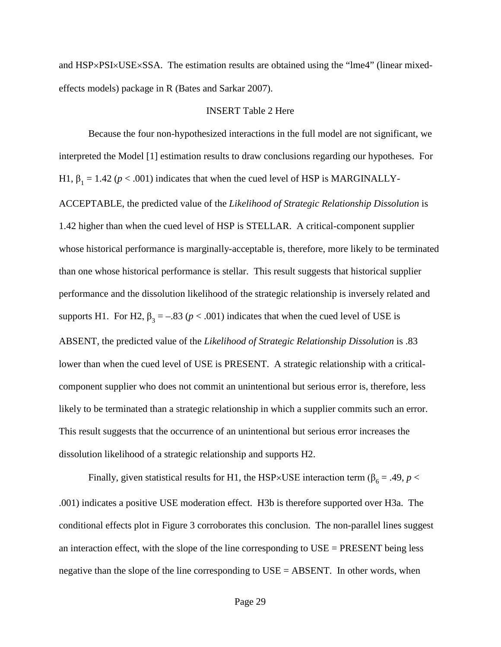and HSP×PSI×USE×SSA. The estimation results are obtained using the "lme4" (linear mixedeffects models) package in R (Bates and Sarkar 2007).

#### INSERT Table 2 Here

Because the four non-hypothesized interactions in the full model are not significant, we interpreted the Model [1] estimation results to draw conclusions regarding our hypotheses. For H1,  $\beta_1 = 1.42$  ( $p < .001$ ) indicates that when the cued level of HSP is MARGINALLY-ACCEPTABLE, the predicted value of the *Likelihood of Strategic Relationship Dissolution* is 1.42 higher than when the cued level of HSP is STELLAR. A critical-component supplier whose historical performance is marginally-acceptable is, therefore, more likely to be terminated than one whose historical performance is stellar. This result suggests that historical supplier performance and the dissolution likelihood of the strategic relationship is inversely related and supports H1. For H2,  $\beta_3 = -.83$  ( $p < .001$ ) indicates that when the cued level of USE is ABSENT, the predicted value of the *Likelihood of Strategic Relationship Dissolution* is .83 lower than when the cued level of USE is PRESENT. A strategic relationship with a criticalcomponent supplier who does not commit an unintentional but serious error is, therefore, less likely to be terminated than a strategic relationship in which a supplier commits such an error. This result suggests that the occurrence of an unintentional but serious error increases the dissolution likelihood of a strategic relationship and supports H2.

Finally, given statistical results for H1, the HSP×USE interaction term ( $\beta_6 = .49$ ,  $p <$ .001) indicates a positive USE moderation effect. H3b is therefore supported over H3a. The conditional effects plot in Figure 3 corroborates this conclusion. The non-parallel lines suggest an interaction effect, with the slope of the line corresponding to USE = PRESENT being less negative than the slope of the line corresponding to USE = ABSENT. In other words, when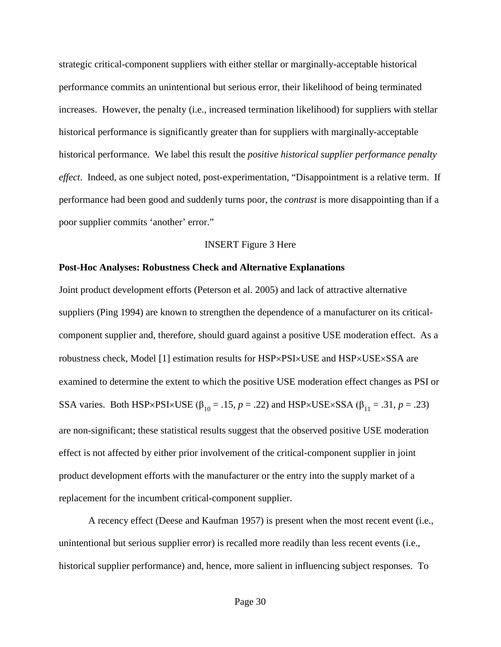strategic critical-component suppliers with either stellar or marginally-acceptable historical performance commits an unintentional but serious error, their likelihood of being terminated increases. However, the penalty (i.e., increased termination likelihood) for suppliers with stellar historical performance is significantly greater than for suppliers with marginally-acceptable historical performance. We label this result the *positive historical supplier performance penalty effect*. Indeed, as one subject noted, post-experimentation, "Disappointment is a relative term. If performance had been good and suddenly turns poor, the *contrast* is more disappointing than if a poor supplier commits 'another' error."

#### INSERT Figure 3 Here

#### **Post-Hoc Analyses: Robustness Check and Alternative Explanations**

Joint product development efforts (Peterson et al. 2005) and lack of attractive alternative suppliers (Ping 1994) are known to strengthen the dependence of a manufacturer on its criticalcomponent supplier and, therefore, should guard against a positive USE moderation effect. As a robustness check, Model [1] estimation results for HSP×PSI×USE and HSP×USE×SSA are examined to determine the extent to which the positive USE moderation effect changes as PSI or SSA varies. Both HSP×PSI×USE ( $\beta_{10} = .15$ ,  $p = .22$ ) and HSP×USE×SSA ( $\beta_{11} = .31$ ,  $p = .23$ ) are non-significant; these statistical results suggest that the observed positive USE moderation effect is not affected by either prior involvement of the critical-component supplier in joint product development efforts with the manufacturer or the entry into the supply market of a replacement for the incumbent critical-component supplier.

A recency effect (Deese and Kaufman 1957) is present when the most recent event (i.e., unintentional but serious supplier error) is recalled more readily than less recent events (i.e., historical supplier performance) and, hence, more salient in influencing subject responses. To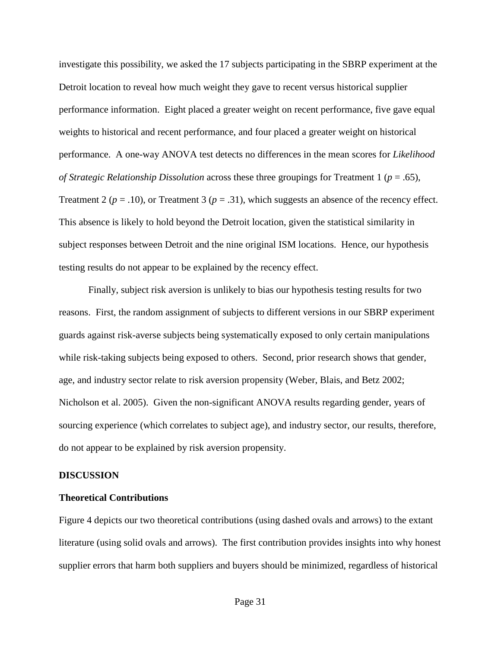investigate this possibility, we asked the 17 subjects participating in the SBRP experiment at the Detroit location to reveal how much weight they gave to recent versus historical supplier performance information. Eight placed a greater weight on recent performance, five gave equal weights to historical and recent performance, and four placed a greater weight on historical performance. A one-way ANOVA test detects no differences in the mean scores for *Likelihood of Strategic Relationship Dissolution* across these three groupings for Treatment 1 (*p* = .65), Treatment 2 ( $p = .10$ ), or Treatment 3 ( $p = .31$ ), which suggests an absence of the recency effect. This absence is likely to hold beyond the Detroit location, given the statistical similarity in subject responses between Detroit and the nine original ISM locations. Hence, our hypothesis testing results do not appear to be explained by the recency effect.

Finally, subject risk aversion is unlikely to bias our hypothesis testing results for two reasons. First, the random assignment of subjects to different versions in our SBRP experiment guards against risk-averse subjects being systematically exposed to only certain manipulations while risk-taking subjects being exposed to others. Second, prior research shows that gender, age, and industry sector relate to risk aversion propensity (Weber, Blais, and Betz 2002; Nicholson et al. 2005). Given the non-significant ANOVA results regarding gender, years of sourcing experience (which correlates to subject age), and industry sector, our results, therefore, do not appear to be explained by risk aversion propensity.

## **DISCUSSION**

## **Theoretical Contributions**

Figure 4 depicts our two theoretical contributions (using dashed ovals and arrows) to the extant literature (using solid ovals and arrows). The first contribution provides insights into why honest supplier errors that harm both suppliers and buyers should be minimized, regardless of historical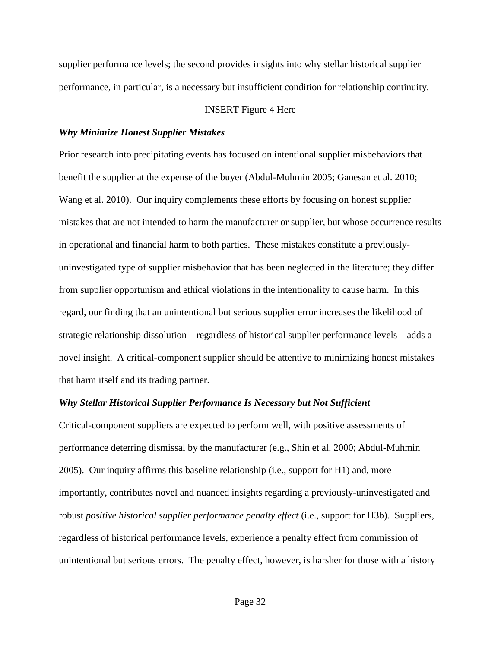supplier performance levels; the second provides insights into why stellar historical supplier performance, in particular, is a necessary but insufficient condition for relationship continuity.

## INSERT Figure 4 Here

#### *Why Minimize Honest Supplier Mistakes*

Prior research into precipitating events has focused on intentional supplier misbehaviors that benefit the supplier at the expense of the buyer (Abdul-Muhmin 2005; Ganesan et al. 2010; Wang et al. 2010). Our inquiry complements these efforts by focusing on honest supplier mistakes that are not intended to harm the manufacturer or supplier, but whose occurrence results in operational and financial harm to both parties. These mistakes constitute a previouslyuninvestigated type of supplier misbehavior that has been neglected in the literature; they differ from supplier opportunism and ethical violations in the intentionality to cause harm. In this regard, our finding that an unintentional but serious supplier error increases the likelihood of strategic relationship dissolution – regardless of historical supplier performance levels – adds a novel insight. A critical-component supplier should be attentive to minimizing honest mistakes that harm itself and its trading partner.

### *Why Stellar Historical Supplier Performance Is Necessary but Not Sufficient*

Critical-component suppliers are expected to perform well, with positive assessments of performance deterring dismissal by the manufacturer (e.g., Shin et al. 2000; Abdul-Muhmin 2005). Our inquiry affirms this baseline relationship (i.e., support for H1) and, more importantly, contributes novel and nuanced insights regarding a previously-uninvestigated and robust *positive historical supplier performance penalty effect* (i.e., support for H3b). Suppliers, regardless of historical performance levels, experience a penalty effect from commission of unintentional but serious errors. The penalty effect, however, is harsher for those with a history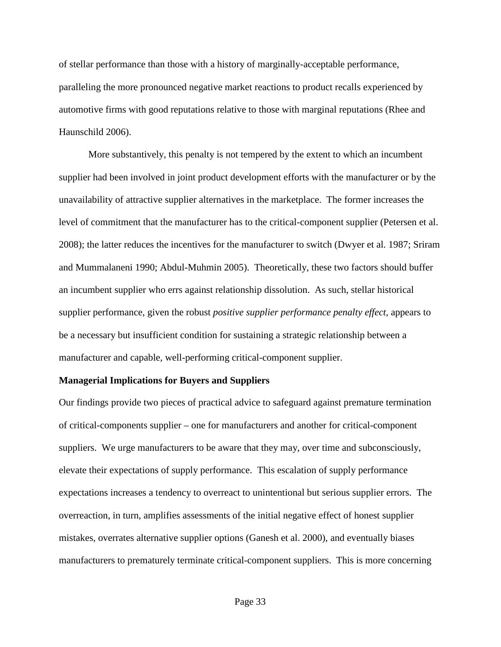of stellar performance than those with a history of marginally-acceptable performance, paralleling the more pronounced negative market reactions to product recalls experienced by automotive firms with good reputations relative to those with marginal reputations (Rhee and Haunschild 2006).

More substantively, this penalty is not tempered by the extent to which an incumbent supplier had been involved in joint product development efforts with the manufacturer or by the unavailability of attractive supplier alternatives in the marketplace. The former increases the level of commitment that the manufacturer has to the critical-component supplier (Petersen et al. 2008); the latter reduces the incentives for the manufacturer to switch (Dwyer et al. 1987; Sriram and Mummalaneni 1990; Abdul-Muhmin 2005). Theoretically, these two factors should buffer an incumbent supplier who errs against relationship dissolution. As such, stellar historical supplier performance, given the robust *positive supplier performance penalty effect*, appears to be a necessary but insufficient condition for sustaining a strategic relationship between a manufacturer and capable, well-performing critical-component supplier.

#### **Managerial Implications for Buyers and Suppliers**

Our findings provide two pieces of practical advice to safeguard against premature termination of critical-components supplier – one for manufacturers and another for critical-component suppliers. We urge manufacturers to be aware that they may, over time and subconsciously, elevate their expectations of supply performance. This escalation of supply performance expectations increases a tendency to overreact to unintentional but serious supplier errors. The overreaction, in turn, amplifies assessments of the initial negative effect of honest supplier mistakes, overrates alternative supplier options (Ganesh et al. 2000), and eventually biases manufacturers to prematurely terminate critical-component suppliers. This is more concerning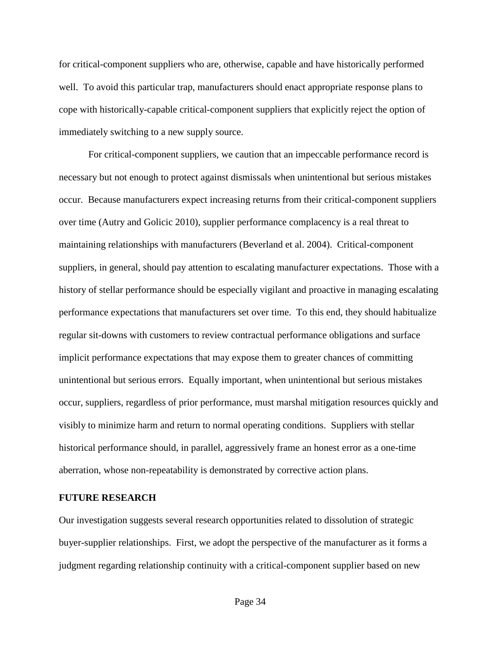for critical-component suppliers who are, otherwise, capable and have historically performed well. To avoid this particular trap, manufacturers should enact appropriate response plans to cope with historically-capable critical-component suppliers that explicitly reject the option of immediately switching to a new supply source.

For critical-component suppliers, we caution that an impeccable performance record is necessary but not enough to protect against dismissals when unintentional but serious mistakes occur. Because manufacturers expect increasing returns from their critical-component suppliers over time (Autry and Golicic 2010), supplier performance complacency is a real threat to maintaining relationships with manufacturers (Beverland et al. 2004). Critical-component suppliers, in general, should pay attention to escalating manufacturer expectations. Those with a history of stellar performance should be especially vigilant and proactive in managing escalating performance expectations that manufacturers set over time. To this end, they should habitualize regular sit-downs with customers to review contractual performance obligations and surface implicit performance expectations that may expose them to greater chances of committing unintentional but serious errors. Equally important, when unintentional but serious mistakes occur, suppliers, regardless of prior performance, must marshal mitigation resources quickly and visibly to minimize harm and return to normal operating conditions. Suppliers with stellar historical performance should, in parallel, aggressively frame an honest error as a one-time aberration, whose non-repeatability is demonstrated by corrective action plans.

#### **FUTURE RESEARCH**

Our investigation suggests several research opportunities related to dissolution of strategic buyer-supplier relationships. First, we adopt the perspective of the manufacturer as it forms a judgment regarding relationship continuity with a critical-component supplier based on new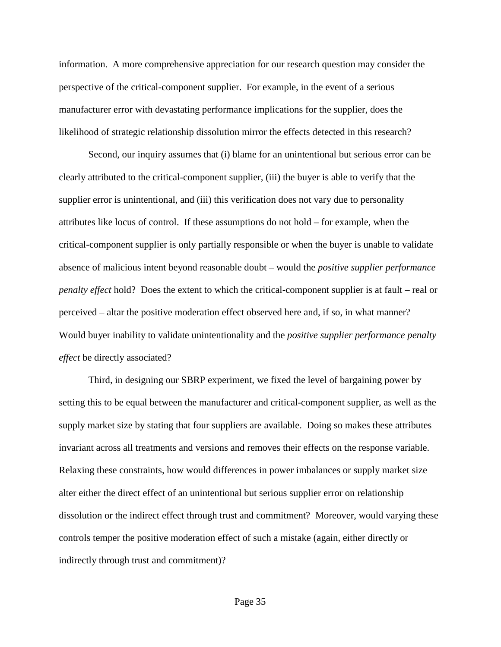information. A more comprehensive appreciation for our research question may consider the perspective of the critical-component supplier. For example, in the event of a serious manufacturer error with devastating performance implications for the supplier, does the likelihood of strategic relationship dissolution mirror the effects detected in this research?

Second, our inquiry assumes that (i) blame for an unintentional but serious error can be clearly attributed to the critical-component supplier, (iii) the buyer is able to verify that the supplier error is unintentional, and (iii) this verification does not vary due to personality attributes like locus of control. If these assumptions do not hold – for example, when the critical-component supplier is only partially responsible or when the buyer is unable to validate absence of malicious intent beyond reasonable doubt – would the *positive supplier performance penalty effect* hold? Does the extent to which the critical-component supplier is at fault – real or perceived – altar the positive moderation effect observed here and, if so, in what manner? Would buyer inability to validate unintentionality and the *positive supplier performance penalty effect* be directly associated?

Third, in designing our SBRP experiment, we fixed the level of bargaining power by setting this to be equal between the manufacturer and critical-component supplier, as well as the supply market size by stating that four suppliers are available. Doing so makes these attributes invariant across all treatments and versions and removes their effects on the response variable. Relaxing these constraints, how would differences in power imbalances or supply market size alter either the direct effect of an unintentional but serious supplier error on relationship dissolution or the indirect effect through trust and commitment? Moreover, would varying these controls temper the positive moderation effect of such a mistake (again, either directly or indirectly through trust and commitment)?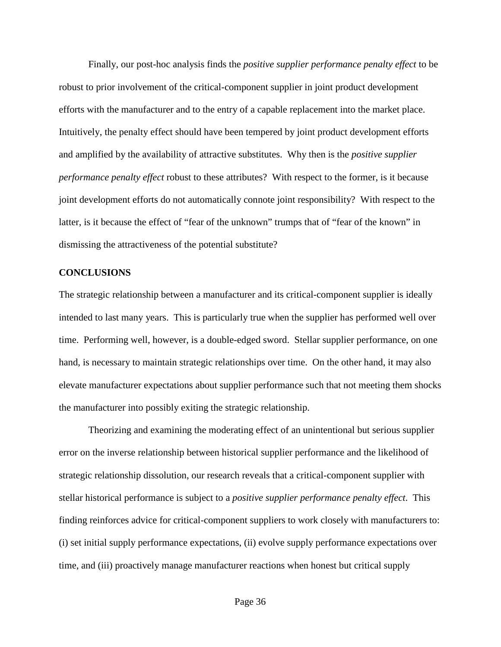Finally, our post-hoc analysis finds the *positive supplier performance penalty effect* to be robust to prior involvement of the critical-component supplier in joint product development efforts with the manufacturer and to the entry of a capable replacement into the market place. Intuitively, the penalty effect should have been tempered by joint product development efforts and amplified by the availability of attractive substitutes. Why then is the *positive supplier performance penalty effect* robust to these attributes? With respect to the former, is it because joint development efforts do not automatically connote joint responsibility? With respect to the latter, is it because the effect of "fear of the unknown" trumps that of "fear of the known" in dismissing the attractiveness of the potential substitute?

#### **CONCLUSIONS**

The strategic relationship between a manufacturer and its critical-component supplier is ideally intended to last many years. This is particularly true when the supplier has performed well over time. Performing well, however, is a double-edged sword. Stellar supplier performance, on one hand, is necessary to maintain strategic relationships over time. On the other hand, it may also elevate manufacturer expectations about supplier performance such that not meeting them shocks the manufacturer into possibly exiting the strategic relationship.

Theorizing and examining the moderating effect of an unintentional but serious supplier error on the inverse relationship between historical supplier performance and the likelihood of strategic relationship dissolution, our research reveals that a critical-component supplier with stellar historical performance is subject to a *positive supplier performance penalty effect*. This finding reinforces advice for critical-component suppliers to work closely with manufacturers to: (i) set initial supply performance expectations, (ii) evolve supply performance expectations over time, and (iii) proactively manage manufacturer reactions when honest but critical supply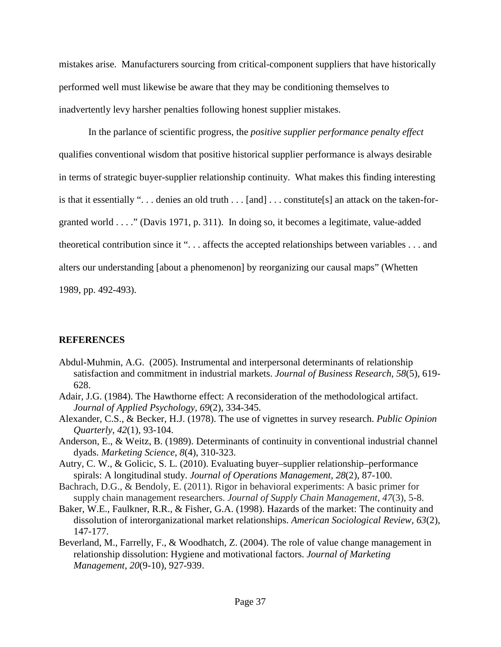mistakes arise. Manufacturers sourcing from critical-component suppliers that have historically performed well must likewise be aware that they may be conditioning themselves to inadvertently levy harsher penalties following honest supplier mistakes.

In the parlance of scientific progress, the *positive supplier performance penalty effect* qualifies conventional wisdom that positive historical supplier performance is always desirable in terms of strategic buyer-supplier relationship continuity. What makes this finding interesting is that it essentially ". . . denies an old truth . . . [and] . . . constitute[s] an attack on the taken-forgranted world . . . ." (Davis 1971, p. 311). In doing so, it becomes a legitimate, value-added theoretical contribution since it ". . . affects the accepted relationships between variables . . . and alters our understanding [about a phenomenon] by reorganizing our causal maps" (Whetten 1989, pp. 492-493).

# **REFERENCES**

- Abdul-Muhmin, A.G. (2005). Instrumental and interpersonal determinants of relationship satisfaction and commitment in industrial markets. *Journal of Business Research*, *58*(5), 619- 628.
- Adair, J.G. (1984). The Hawthorne effect: A reconsideration of the methodological artifact. *Journal of Applied Psychology*, *69*(2), 334-345.
- Alexander, C.S., & Becker, H.J. (1978). The use of vignettes in survey research. *Public Opinion Quarterly*, *42*(1), 93-104.
- Anderson, E., & Weitz, B. (1989). Determinants of continuity in conventional industrial channel dyads. *Marketing Science*, *8*(4), 310-323.
- Autry, C. W., & Golicic, S. L. (2010). Evaluating buyer–supplier relationship–performance spirals: A longitudinal study. *Journal of Operations Management*, *28*(2), 87-100.
- Bachrach, D.G., & Bendoly, E. (2011). Rigor in behavioral experiments: A basic primer for supply chain management researchers. *Journal of Supply Chain Management*, *47*(3), 5-8.
- Baker, W.E., Faulkner, R.R., & Fisher, G.A. (1998). Hazards of the market: The continuity and dissolution of interorganizational market relationships. *American Sociological Review*, *63*(2), 147-177.
- Beverland, M., Farrelly, F., & Woodhatch, Z. (2004). The role of value change management in relationship dissolution: Hygiene and motivational factors. *Journal of Marketing Management*, *20*(9-10), 927-939.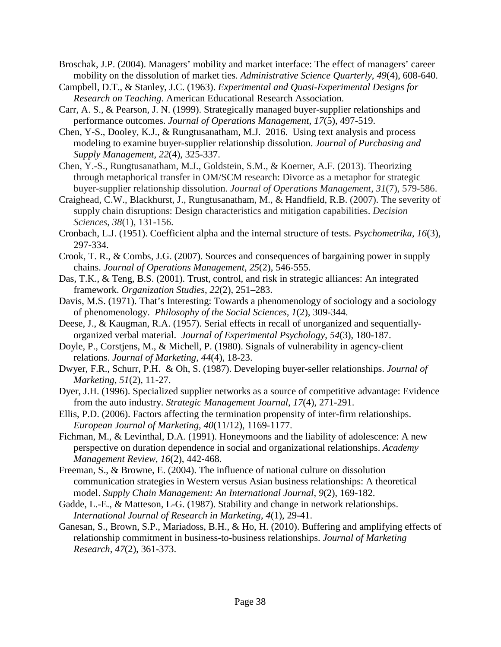- Broschak, J.P. (2004). Managers' mobility and market interface: The effect of managers' career mobility on the dissolution of market ties. *Administrative Science Quarterly*, *49*(4), 608-640.
- Campbell, D.T., & Stanley, J.C. (1963). *Experimental and Quasi-Experimental Designs for Research on Teaching*. American Educational Research Association.
- Carr, A. S., & Pearson, J. N. (1999). Strategically managed buyer-supplier relationships and performance outcomes. *Journal of Operations Management*, *17*(5), 497-519.
- Chen, Y-S., Dooley, K.J., & Rungtusanatham, M.J. 2016. Using text analysis and process modeling to examine buyer-supplier relationship dissolution. *Journal of Purchasing and Supply Management*, *22*(4), 325-337.
- Chen, Y.-S., Rungtusanatham, M.J., Goldstein, S.M., & Koerner, A.F. (2013). Theorizing through metaphorical transfer in OM/SCM research: Divorce as a metaphor for strategic buyer-supplier relationship dissolution. *Journal of Operations Management*, *31*(7), 579-586.
- Craighead, C.W., Blackhurst, J., Rungtusanatham, M., & Handfield, R.B. (2007). The severity of supply chain disruptions: Design characteristics and mitigation capabilities. *Decision Sciences*, *38*(1), 131-156.
- Cronbach, L.J. (1951). Coefficient alpha and the internal structure of tests. *Psychometrika*, *16*(3), 297-334.
- Crook, T. R., & Combs, J.G. (2007). Sources and consequences of bargaining power in supply chains. *Journal of Operations Management*, *25*(2), 546-555.
- Das, T.K., & Teng, B.S. (2001). Trust, control, and risk in strategic alliances: An integrated framework. *Organization Studies*, *22*(2), 251–283.
- Davis, M.S. (1971). That's Interesting: Towards a phenomenology of sociology and a sociology of phenomenology. *Philosophy of the Social Sciences, 1*(2), 309-344.
- Deese, J., & Kaugman, R.A. (1957). Serial effects in recall of unorganized and sequentiallyorganized verbal material. *Journal of Experimental Psychology*, *54*(3), 180-187.
- Doyle, P., Corstjens, M., & Michell, P. (1980). Signals of vulnerability in agency-client relations. *Journal of Marketing*, *44*(4), 18-23.
- Dwyer, F.R., Schurr, P.H. & Oh, S. (1987). Developing buyer-seller relationships. *Journal of Marketing*, *51*(2), 11-27.
- Dyer, J.H. (1996). Specialized supplier networks as a source of competitive advantage: Evidence from the auto industry. *Strategic Management Journal*, *17*(4), 271-291.
- Ellis, P.D. (2006). Factors affecting the termination propensity of inter-firm relationships. *European Journal of Marketing*, *40*(11/12), 1169-1177.
- Fichman, M., & Levinthal, D.A. (1991). Honeymoons and the liability of adolescence: A new perspective on duration dependence in social and organizational relationships. *Academy Management Review*, *16*(2), 442-468.
- Freeman, S., & Browne, E. (2004). The influence of national culture on dissolution communication strategies in Western versus Asian business relationships: A theoretical model. *Supply Chain Management: An International Journal*, *9*(2), 169-182.
- Gadde, L.-E., & Matteson, L-G. (1987). Stability and change in network relationships. *International Journal of Research in Marketing*, *4*(1), 29-41.
- Ganesan, S., Brown, S.P., Mariadoss, B.H., & Ho, H. (2010). Buffering and amplifying effects of relationship commitment in business-to-business relationships. *Journal of Marketing Research*, *47*(2), 361-373.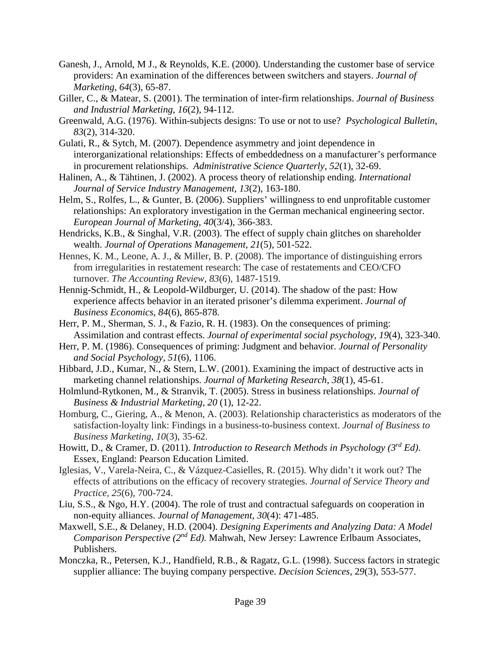- Ganesh, J., Arnold, M J., & Reynolds, K.E. (2000). Understanding the customer base of service providers: An examination of the differences between switchers and stayers. *Journal of Marketing*, *64*(3), 65-87.
- Giller, C., & Matear, S. (2001). The termination of inter-firm relationships. *Journal of Business and Industrial Marketing*, *16*(2), 94-112.
- Greenwald, A.G. (1976). Within-subjects designs: To use or not to use? *Psychological Bulletin*, *83*(2), 314-320.
- Gulati, R., & Sytch, M. (2007). Dependence asymmetry and joint dependence in interorganizational relationships: Effects of embeddedness on a manufacturer's performance in procurement relationships. *Administrative Science Quarterly*, *52*(1), 32-69.
- Halinen, A., & Tähtinen, J. (2002). A process theory of relationship ending. *International Journal of Service Industry Management*, *13*(2), 163-180.
- Helm, S., Rolfes, L., & Gunter, B. (2006). Suppliers' willingness to end unprofitable customer relationships: An exploratory investigation in the German mechanical engineering sector. *European Journal of Marketing*, *40*(3/4), 366-383.
- Hendricks, K.B., & Singhal, V.R. (2003). The effect of supply chain glitches on shareholder wealth. *Journal of Operations Management, 21*(5), 501-522.
- Hennes, K. M., Leone, A. J., & Miller, B. P. (2008). The importance of distinguishing errors from irregularities in restatement research: The case of restatements and CEO/CFO turnover. *The Accounting Review*, *83*(6), 1487-1519.
- Hennig-Schmidt, H., & Leopold-Wildburger, U. (2014). The shadow of the past: How experience affects behavior in an iterated prisoner's dilemma experiment. *Journal of Business Economics*, *84*(6), 865-878.
- Herr, P. M., Sherman, S. J., & Fazio, R. H. (1983). On the consequences of priming: Assimilation and contrast effects. *Journal of experimental social psychology*, *19*(4), 323-340.
- Herr, P. M. (1986). Consequences of priming: Judgment and behavior. *Journal of Personality and Social Psychology*, *51*(6), 1106.
- Hibbard, J.D., Kumar, N., & Stern, L.W. (2001). Examining the impact of destructive acts in marketing channel relationships. *Journal of Marketing Research*, *38*(1), 45-61.
- Holmlund-Rytkonen, M., & Stranvik, T. (2005). Stress in business relationships. *Journal of Business & Industrial Marketing, 20* (1), 12-22.
- Homburg, C., Giering, A., & Menon, A. (2003). Relationship characteristics as moderators of the satisfaction-loyalty link: Findings in a business-to-business context. *Journal of Business to Business Marketing*, *10*(3), 35-62.
- Howitt, D., & Cramer, D. (2011). *Introduction to Research Methods in Psychology (3rd Ed)*. Essex, England: Pearson Education Limited.
- Iglesias, V., Varela-Neira, C., & Vázquez-Casielles, R. (2015). Why didn't it work out? The effects of attributions on the efficacy of recovery strategies. *Journal of Service Theory and Practice*, *25*(6), 700-724.
- Liu, S.S., & Ngo, H.Y. (2004). The role of trust and contractual safeguards on cooperation in non-equity alliances. *Journal of Management*, *30*(4): 471-485.
- Maxwell, S.E., & Delaney, H.D. (2004). *Designing Experiments and Analyzing Data: A Model Comparison Perspective (2nd Ed).* Mahwah, New Jersey: Lawrence Erlbaum Associates, Publishers.
- Monczka, R., Petersen, K.J., Handfield, R.B., & Ragatz, G.L. (1998). Success factors in strategic supplier alliance: The buying company perspective. *Decision Sciences*, 2*9*(3), 553-577.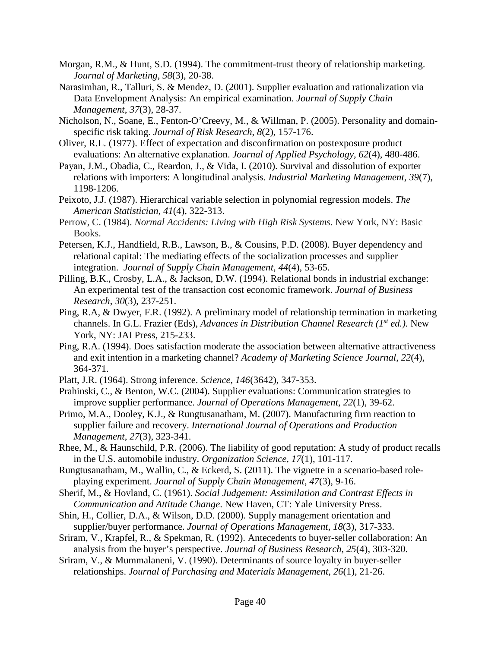- Morgan, R.M., & Hunt, S.D. (1994). The commitment-trust theory of relationship marketing. *Journal of Marketing*, *58*(3), 20-38.
- Narasimhan, R., Talluri, S. & Mendez, D. (2001). Supplier evaluation and rationalization via Data Envelopment Analysis: An empirical examination. *Journal of Supply Chain Management*, *37*(3), 28-37.
- Nicholson, N., Soane, E., Fenton-O'Creevy, M., & Willman, P. (2005). Personality and domainspecific risk taking. *Journal of Risk Research*, *8*(2), 157-176.
- Oliver, R.L. (1977). Effect of expectation and disconfirmation on postexposure product evaluations: An alternative explanation. *Journal of Applied Psychology*, *62*(4), 480-486.
- Payan, J.M., Obadia, C., Reardon, J., & Vida, I. (2010). Survival and dissolution of exporter relations with importers: A longitudinal analysis. *Industrial Marketing Management*, *39*(7), 1198-1206.
- Peixoto, J.J. (1987). Hierarchical variable selection in polynomial regression models. *The American Statistician*, *41*(4), 322-313.
- Perrow, C. (1984). *Normal Accidents: Living with High Risk Systems*. New York, NY: Basic Books.
- Petersen, K.J., Handfield, R.B., Lawson, B., & Cousins, P.D. (2008). Buyer dependency and relational capital: The mediating effects of the socialization processes and supplier integration. *Journal of Supply Chain Management*, *44*(4), 53-65.
- Pilling, B.K., Crosby, L.A., & Jackson, D.W. (1994). Relational bonds in industrial exchange: An experimental test of the transaction cost economic framework. *Journal of Business Research*, *30*(3), 237-251.
- Ping, R.A, & Dwyer, F.R. (1992). A preliminary model of relationship termination in marketing channels. In G.L. Frazier (Eds), *Advances in Distribution Channel Research (1st ed.).* New York, NY: JAI Press, 215-233.
- Ping, R.A. (1994). Does satisfaction moderate the association between alternative attractiveness and exit intention in a marketing channel? *Academy of Marketing Science Journal*, *22*(4), 364-371.
- Platt, J.R. (1964). Strong inference. *Science*, *146*(3642), 347-353.
- Prahinski, C., & Benton, W.C. (2004). Supplier evaluations: Communication strategies to improve supplier performance. *Journal of Operations Management*, *22*(1), 39-62.
- Primo, M.A., Dooley, K.J., & Rungtusanatham, M. (2007). Manufacturing firm reaction to supplier failure and recovery. *International Journal of Operations and Production Management*, *27*(3), 323-341.
- Rhee, M., & Haunschild, P.R. (2006). The liability of good reputation: A study of product recalls in the U.S. automobile industry. *Organization Science*, *17*(1), 101-117.
- Rungtusanatham, M., Wallin, C., & Eckerd, S. (2011). The vignette in a scenario-based roleplaying experiment. *Journal of Supply Chain Management*, *47*(3), 9-16.
- Sherif, M., & Hovland, C. (1961). *Social Judgement: Assimilation and Contrast Effects in Communication and Attitude Change*. New Haven, CT: Yale University Press.
- Shin, H., Collier, D.A., & Wilson, D.D. (2000). Supply management orientation and supplier/buyer performance. *Journal of Operations Management*, *18*(3), 317-333.
- Sriram, V., Krapfel, R., & Spekman, R. (1992). Antecedents to buyer-seller collaboration: An analysis from the buyer's perspective. *Journal of Business Research*, *25*(4), 303-320.
- Sriram, V., & Mummalaneni, V. (1990). Determinants of source loyalty in buyer-seller relationships. *Journal of Purchasing and Materials Management*, *26*(1), 21-26.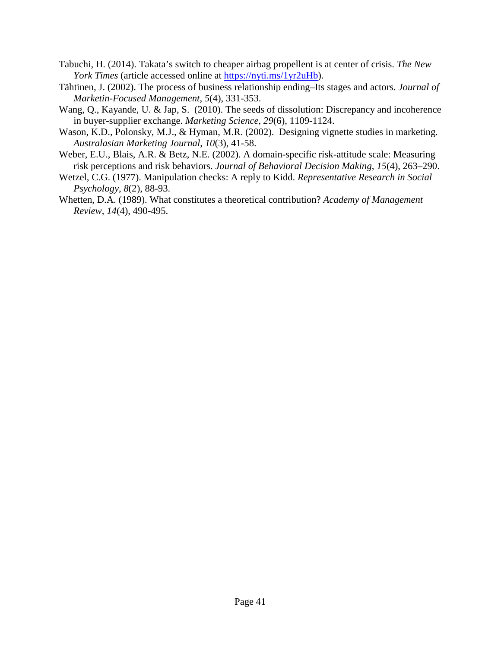- Tabuchi, H. (2014). Takata's switch to cheaper airbag propellent is at center of crisis. *The New York Times* (article accessed online at [https://nyti.ms/1yr2uHb\)](https://nyti.ms/1yr2uHb).
- Tähtinen, J. (2002). The process of business relationship ending–Its stages and actors. *Journal of Marketin-Focused Management*, *5*(4), 331-353.
- Wang, Q., Kayande, U. & Jap, S. (2010). The seeds of dissolution: Discrepancy and incoherence in buyer-supplier exchange. *Marketing Science*, *29*(6), 1109-1124.
- Wason, K.D., Polonsky, M.J., & Hyman, M.R. (2002). Designing vignette studies in marketing. *Australasian Marketing Journal*, *10*(3), 41-58.
- Weber, E.U., Blais, A.R. & Betz, N.E. (2002). A domain-specific risk-attitude scale: Measuring risk perceptions and risk behaviors. *Journal of Behavioral Decision Making*, *15*(4), 263–290.
- Wetzel, C.G. (1977). Manipulation checks: A reply to Kidd. *Representative Research in Social Psychology*, *8*(2), 88-93.
- Whetten, D.A. (1989). What constitutes a theoretical contribution? *Academy of Management Review*, *14*(4), 490-495.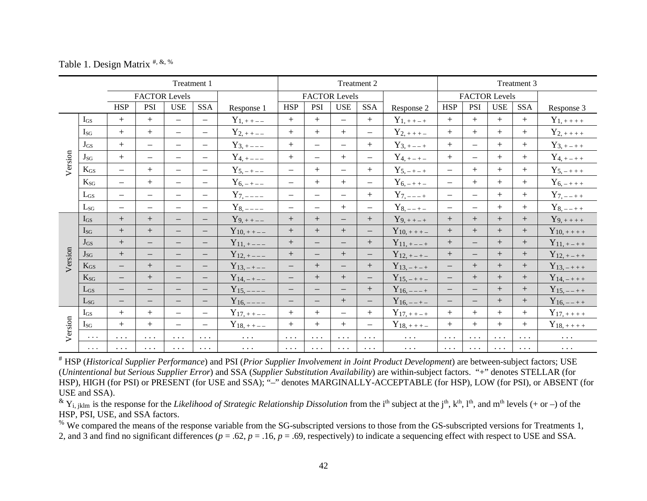Table 1. Design Matrix  $\#$ ,  $\&$ ,  $\%$ 

|         |          | Treatment 1                       |                                   |                                                            |                                                        | Treatment 2          |                          |                          |                                   |                          | Treatment 3               |                                   |                          |                      |                      |                      |
|---------|----------|-----------------------------------|-----------------------------------|------------------------------------------------------------|--------------------------------------------------------|----------------------|--------------------------|--------------------------|-----------------------------------|--------------------------|---------------------------|-----------------------------------|--------------------------|----------------------|----------------------|----------------------|
|         |          |                                   | <b>FACTOR Levels</b>              |                                                            |                                                        |                      | <b>FACTOR Levels</b>     |                          |                                   | <b>FACTOR Levels</b>     |                           |                                   |                          |                      |                      |                      |
|         |          | <b>HSP</b>                        | <b>PSI</b>                        | <b>USE</b>                                                 | SSA                                                    | Response 1           | <b>HSP</b>               | <b>PSI</b>               | <b>USE</b>                        | SSA                      | Response 2                | <b>HSP</b>                        | PSI                      | $_{\rm{USE}}$        | SSA                  | Response 3           |
|         | $I_{GS}$ | $+$                               | $+$                               | $\overline{\phantom{m}}$                                   | $\overline{\phantom{0}}$                               | $Y_{1,++--}$         | $+$                      | $+$                      | $\overline{\phantom{0}}$          | $+$                      | $Y_{\frac{1}{1} + + - +}$ | $+$                               | $+$                      | $+$                  | $+$                  | $Y_{1,+++}$          |
|         | $I_{SG}$ | $\boldsymbol{+}$                  | $+$                               | $\overline{\phantom{0}}$                                   | $\qquad \qquad -$                                      | $Y_{2,++--}$         | $+$                      | $+$                      | $+$                               | $\qquad \qquad -$        | $Y_{2,+++-}$              | $+$                               | $+$                      | $+$                  | $+$                  | $Y_{2,+++}$          |
|         | $J_{GS}$ | $\boldsymbol{+}$                  | $\qquad \qquad -$                 |                                                            | $\overline{\phantom{0}}$                               | $Y_{3,+---}$         | $+$                      | $\overline{\phantom{0}}$ | $\overline{\phantom{0}}$          | $+$                      | $Y_{3,+--+}$              | $+$                               | $\qquad \qquad -$        | $+$                  | $+$                  | $Y_{3,+ - + +}$      |
| Version | $J_{SG}$ | $+$                               | $\qquad \qquad -$                 | $\qquad \qquad -$                                          | $\overline{\phantom{0}}$                               | $Y_{4,+---}$         | $+$                      | $\overline{\phantom{0}}$ | $+$                               | $\qquad \qquad -$        | $Y_{4,+ - + -}$           | $+$                               | $\overline{\phantom{0}}$ | $+$                  | $+$                  | $Y_{4,+-++}$         |
|         | $K_{GS}$ | $\equiv$                          | $+$                               | $\overline{\phantom{0}}$                                   | $\overline{\phantom{0}}$                               | $Y_{5,-+--}$         | $\equiv$                 | $+$                      | $\overline{\phantom{0}}$          | $+$                      | $Y_{\frac{5}{2},-+-+}$    | $\equiv$                          | $+$                      | $+$                  | $+$                  | $Y_{5,-+++}$         |
|         | $K_{SG}$ | $\qquad \qquad -$                 | $+$                               | $\qquad \qquad -$                                          | $\overline{\phantom{0}}$                               | $Y_{6,-+--}$         | $\overline{\phantom{m}}$ | $+$                      | $+$                               | $\qquad \qquad -$        | $Y_{6,-++-}$              | $\qquad \qquad -$                 | $+$                      | $+$                  | $+$                  | $Y_{6,-+++}$         |
|         | $L_{GS}$ | $\equiv$                          | $\qquad \qquad -$                 | $=$                                                        | $\overline{\phantom{0}}$                               | $Y_{7,---}$          | $\overline{\phantom{m}}$ | $\equiv$                 | $\equiv$                          | $+$                      | $Y_{7,---}$               | $\equiv$                          | $\equiv$                 | $+$                  | $+$                  | $Y_{7, --++}$        |
|         | $L_{SG}$ | $\qquad \qquad -$                 | $\overline{\phantom{m}}$          | $\qquad \qquad -$                                          | $\overline{\phantom{0}}$                               | $Y_{8,---}$          | $\qquad \qquad -$        | $\equiv$                 | $+$                               | $\qquad \qquad -$        | $Y_{8, --+-}$             | $\qquad \qquad -$                 | $\qquad \qquad -$        | $+$                  | $+$                  | $Y_{8, --++}$        |
|         | $I_{GS}$ | $\boldsymbol{+}$                  |                                   | $\qquad \qquad -$                                          | $\overline{\phantom{0}}$                               | $Y_{9,++--}$         | $\boldsymbol{+}$         | $\boldsymbol{+}$         | $\qquad \qquad -$                 | $+$                      | $Y_{9,++-+}$              | $\boldsymbol{+}$                  | $+$                      | $^{+}$               | $^{+}$               | $Y_{9,+++}$          |
|         | $I_{SG}$ | $+$                               | $+$                               | $\overline{\phantom{0}}$                                   | $\overline{\phantom{0}}$                               | $Y_{10,++--}$        | $+$                      | $+$                      | $+$                               | $\overline{\phantom{0}}$ | $Y_{10,+++-}$             | $+$                               | $+$                      | $+$                  | $+$                  | $Y_{10, + + + +}$    |
|         | $J_{GS}$ | $\boldsymbol{+}$                  | $\overline{\phantom{m}}$          | $\qquad \qquad -$                                          | $\qquad \qquad -$                                      | $Y_{11,+---}$        | $\boldsymbol{+}$         | $-$                      | $\qquad \qquad -$                 | $+$                      | $Y_{11, + - - +}$         | $+$                               | $\qquad \qquad -$        | $+$                  | $^{+}$               | $Y_{11, + - + +}$    |
| Version | $J_{SG}$ | $\boldsymbol{+}$                  | $\qquad \qquad -$                 | $\qquad \qquad -$                                          | $\qquad \qquad -$                                      | $Y_{12,+---}$        | $\boldsymbol{+}$         | $\overline{\phantom{0}}$ | $+$                               | $\qquad \qquad -$        | $Y_{12,+ - + -}$          | $\boldsymbol{+}$                  | $\overline{\phantom{m}}$ | $+$                  | $\boldsymbol{+}$     | $Y_{12, + - + +}$    |
|         | $K_{GS}$ | $\overline{\phantom{0}}$          | $+$                               | $\qquad \qquad -$                                          | $\qquad \qquad -$                                      | $Y_{13,-+--}$        | $\overline{\phantom{0}}$ | $\boldsymbol{+}$         | $\overline{\phantom{0}}$          | $+$                      | $Y_{13,-+-+}$             | $\overline{\phantom{0}}$          | $+$                      | $+$                  | $+$                  | $Y_{13,-+++}$        |
|         | $K_{SG}$ | $\overline{\phantom{m}}$          |                                   | $\qquad \qquad -$                                          | $\overline{\phantom{0}}$                               | $Y_{14,-+--}$        | $\overline{\phantom{m}}$ |                          | $+$                               | $\qquad \qquad -$        | $Y_{15,-++-}$             | $\qquad \qquad -$                 | $+$                      | $+$                  |                      | $Y_{14,-+++}$        |
|         | $L_{GS}$ | $\overline{\phantom{m}}$          | $\overline{\phantom{m}}$          | $\overline{\phantom{m}}$                                   | $\overline{\phantom{0}}$                               | $Y_{15,---}$         | $\overline{\phantom{m}}$ | $\qquad \qquad -$        | $\qquad \qquad -$                 | $+$                      | $Y_{16, --- +}$           | $\qquad \qquad -$                 |                          | $+$                  | $^{+}$               | $Y_{15, --++}$       |
|         | $L_{SG}$ | $\overline{\phantom{m}}$          | $\qquad \qquad -$                 | $\qquad \qquad -$                                          | $\qquad \qquad -$                                      | $Y_{16,---}$         | $\overline{\phantom{m}}$ | $\overline{\phantom{0}}$ | $+$                               | $\qquad \qquad -$        | $Y_{16, --+-}$            | $\overline{\phantom{0}}$          | $\overline{\phantom{m}}$ | $+$                  | $+$                  | $Y_{16, --++}$       |
|         | $I_{GS}$ | $+$                               | $+$                               | $\overline{\phantom{0}}$                                   | $\qquad \qquad -$                                      | $Y_{17,++--}$        | $+$                      | $+$                      | $\overline{\phantom{0}}$          | $+$                      | $Y_{17,++-+}$             | $+$                               | $+$                      | $+$                  | $+$                  | $Y_{17,+++}$         |
| Version | $I_{SG}$ | $+$                               | $+$                               | $\equiv$                                                   | $\overline{\phantom{0}}$                               | $Y_{18,++-}$         | $+$                      | $+$                      | $+$                               | $\equiv$                 | $Y_{18,+++-}$             | $+$                               | $+$                      | $+$                  | $+$                  | $Y_{18, + + + +}$    |
|         | $\ldots$ | $\bullet$ , $\bullet$ , $\bullet$ | $\cdots$                          | $\cdots$                                                   | $\cdots$                                               | $\cdots$             | $\cdots$                 | $\cdots$                 | $\bullet$ .<br><br><br>$\bullet$  | $\cdots$                 | $\sim$ $\sim$ $\sim$      | $\bullet$ , $\bullet$ , $\bullet$ | $\cdots$                 | $\cdots$             | $\cdots$             | $\sim$ $\sim$ $\sim$ |
|         | $\ldots$ | $\bullet$ , $\bullet$ , $\bullet$ | $\bullet$ . $\bullet$ . $\bullet$ | $\bullet$ .<br><br><br>$\bullet$ .<br><br><br><br><br><br> | $\bullet$ .<br><br>$\bullet$ .<br><br><br><br><br><br> | $\sim$ $\sim$ $\sim$ | $\sim$ $\sim$ $\sim$     | $\sim$ $\sim$ $\sim$     | $\bullet$ , $\bullet$ , $\bullet$ | $\sim$ $\sim$ $\sim$     | $\sim$ $\sim$ $\sim$      | $\sim$ $\sim$ $\sim$              | $\sim$ $\sim$ $\sim$     | $\sim$ $\sim$ $\sim$ | $\sim$ $\sim$ $\sim$ | $\sim$ $\sim$ $\sim$ |

# HSP (*Historical Supplier Performance*) and PSI (*Prior Supplier Involvement in Joint Product Development*) are between-subject factors; USE (*Unintentional but Serious Supplier Error*) and SSA (*Supplier Substitution Availability*) are within-subject factors. "+" denotes STELLAR (for HSP), HIGH (for PSI) or PRESENT (for USE and SSA); "–" denotes MARGINALLY-ACCEPTABLE (for HSP), LOW (for PSI), or ABSENT (for USE and SSA).

 $^{\&}$  Y<sub>i, iklm</sub> is the response for the *Likelihood of Strategic Relationship Dissolution* from the i<sup>th</sup> subject at the j<sup>th</sup>, k<sup>th</sup>, l<sup>th</sup>, and m<sup>th</sup> levels (+ or –) of the HSP, PSI, USE, and SSA factors.

<sup>%</sup> We compared the means of the response variable from the SG-subscripted versions to those from the GS-subscripted versions for Treatments 1, 2, and 3 and find no significant differences (*p* = .62, *p* = .16, *p* = .69, respectively) to indicate a sequencing effect with respect to USE and SSA.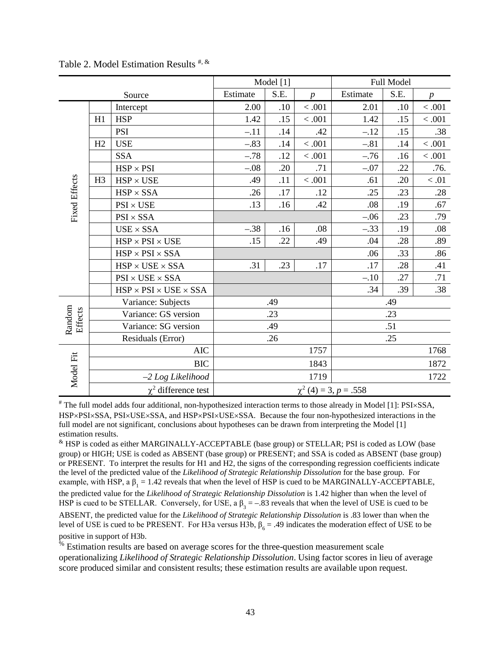|                      |                |                                                                            |                            | Model [1] |                  | Full Model |      |                  |  |
|----------------------|----------------|----------------------------------------------------------------------------|----------------------------|-----------|------------------|------------|------|------------------|--|
|                      |                | Source                                                                     | Estimate                   | S.E.      | $\boldsymbol{p}$ | Estimate   | S.E. | $\boldsymbol{p}$ |  |
|                      |                | Intercept                                                                  | 2.00                       | .10       | < .001           | 2.01       | .10  | $<.001$          |  |
|                      | H1             | <b>HSP</b>                                                                 | 1.42                       | .15       | < 0.001          | 1.42       | .15  | $<.001\,$        |  |
|                      |                | <b>PSI</b>                                                                 | $-.11$                     | .14       | .42              | $-.12$     | .15  | .38              |  |
|                      | H2             | <b>USE</b>                                                                 | $-.83$                     | .14       | < 0.001          | $-.81$     | .14  | $<.001\,$        |  |
|                      |                | <b>SSA</b>                                                                 | $-.78$                     | .12       | < .001           | $-.76$     | .16  | < 0.001          |  |
|                      |                | $HSP \times PSI$                                                           | $-.08$                     | .20       | .71              | $-.07$     | .22  | .76.             |  |
|                      | H <sub>3</sub> | $\ensuremath{\mathsf{HSP}}\xspace \times \ensuremath{\mathsf{USE}}\xspace$ | .49                        | .11       | $<.001$          | .61        | .20  | $<.01\,$         |  |
|                      |                | $HSP \times SSA$                                                           | .26                        | .17       | .12              | .25        | .23  | .28              |  |
| <b>Fixed Effects</b> |                | $PSI \times USE$                                                           | .13                        | .16       | .42              | .08        | .19  | .67              |  |
|                      |                | $PSI \times SSA$                                                           |                            |           |                  | $-.06$     | .23  | .79              |  |
|                      |                | $USE \times SSA$                                                           | $-.38$                     | .16       | .08              | $-.33$     | .19  | .08              |  |
|                      |                | $HSP \times PSI \times USE$                                                | .15                        | .22       | .49              | .04        | .28  | .89              |  |
|                      |                | $HSP \times PSI \times SSA$                                                |                            |           |                  | .06        | .33  | .86              |  |
|                      |                | $HSP \times USE \times SSA$                                                | .31                        | .23       | .17              | .17        | .28  | .41              |  |
|                      |                | $PSI \times USE \times SSA$                                                |                            |           |                  | $-.10$     | .27  | .71              |  |
|                      |                | $HSP \times PSI \times USE \times SSA$                                     |                            |           |                  | .34        | .39  | .38              |  |
|                      |                | Variance: Subjects                                                         |                            | .49       |                  | .49        |      |                  |  |
| Random<br>Effects    |                | Variance: GS version                                                       |                            | .23       |                  | .23        |      |                  |  |
|                      |                | Variance: SG version                                                       |                            | .49       |                  |            | .51  |                  |  |
|                      |                | Residuals (Error)                                                          |                            | .26       |                  |            | .25  |                  |  |
| <b>AIC</b>           |                |                                                                            |                            | 1757      |                  |            | 1768 |                  |  |
|                      |                | <b>BIC</b>                                                                 |                            |           | 1843             |            |      | 1872             |  |
| Model Fit            |                | $-2$ Log Likelihood                                                        |                            |           | 1719             |            |      | 1722             |  |
|                      |                | $\chi^2$ difference test                                                   | $\chi^2$ (4) = 3, p = .558 |           |                  |            |      |                  |  |

Table 2. Model Estimation Results  $\#$ , &

# The full model adds four additional, non-hypothesized interaction terms to those already in Model [1]: PSI×SSA, HSP×PSI×SSA, PSI×USE×SSA, and HSP×PSI×USE×SSA. Because the four non-hypothesized interactions in the full model are not significant, conclusions about hypotheses can be drawn from interpreting the Model [1] estimation results.

& HSP is coded as either MARGINALLY-ACCEPTABLE (base group) or STELLAR; PSI is coded as LOW (base group) or HIGH; USE is coded as ABSENT (base group) or PRESENT; and SSA is coded as ABSENT (base group) or PRESENT. To interpret the results for H1 and H2, the signs of the corresponding regression coefficients indicate the level of the predicted value of the *Likelihood of Strategic Relationship Dissolution* for the base group. For example, with HSP, a  $\beta_1 = 1.42$  reveals that when the level of HSP is cued to be MARGINALLY-ACCEPTABLE, the predicted value for the *Likelihood of Strategic Relationship Dissolution* is 1.42 higher than when the level of HSP is cued to be STELLAR. Conversely, for USE, a  $\beta_3 = -.83$  reveals that when the level of USE is cued to be ABSENT, the predicted value for the *Likelihood of Strategic Relationship Dissolution* is .83 lower than when the level of USE is cued to be PRESENT. For H3a versus H3b,  $β<sub>6</sub> = .49$  indicates the moderation effect of USE to be positive in support of H3b.

 $%$  Estimation results are based on average scores for the three-question measurement scale operationalizing *Likelihood of Strategic Relationship Dissolution*. Using factor scores in lieu of average score produced similar and consistent results; these estimation results are available upon request.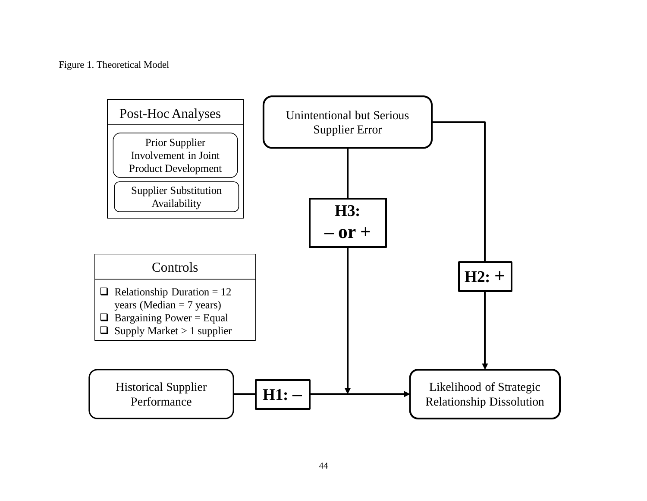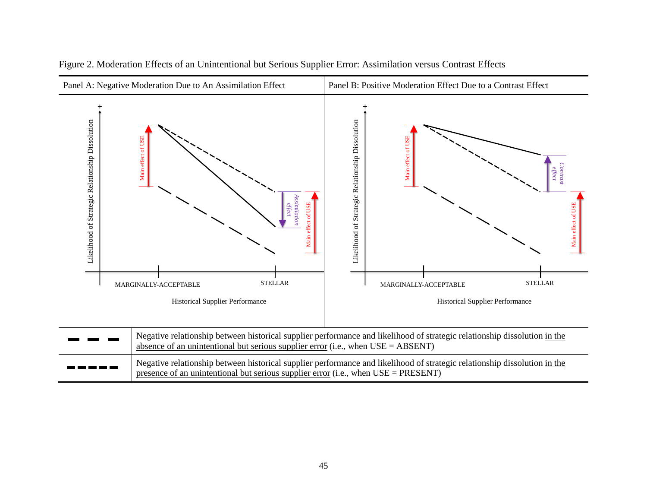

|  |  |  |  |  | Figure 2. Moderation Effects of an Unintentional but Serious Supplier Error: Assimilation versus Contrast Effects |  |  |
|--|--|--|--|--|-------------------------------------------------------------------------------------------------------------------|--|--|
|  |  |  |  |  |                                                                                                                   |  |  |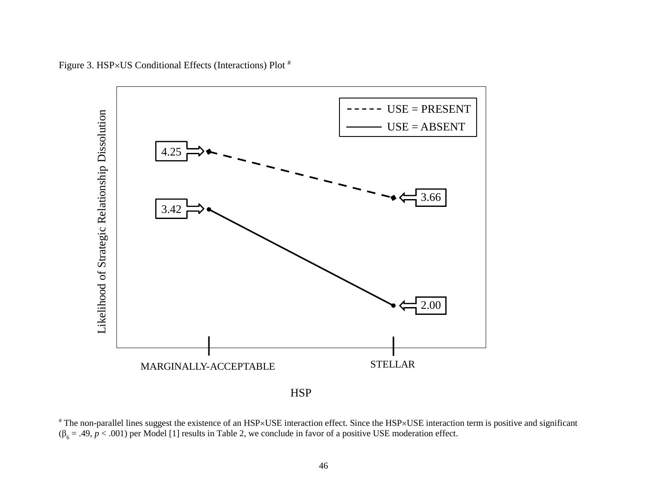

Figure 3. HSP×US Conditional Effects (Interactions) Plot #

# The non-parallel lines suggest the existence of an HSP×USE interaction effect. Since the HSP×USE interaction term is positive and significant  $(\beta_6 = .49, p < .001)$  per Model [1] results in Table 2, we conclude in favor of a positive USE moderation effect.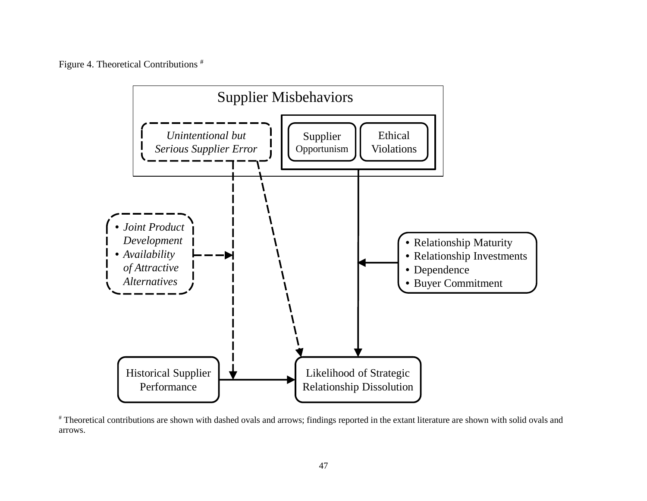Figure 4. Theoretical Contributions #



# Theoretical contributions are shown with dashed ovals and arrows; findings reported in the extant literature are shown with solid ovals and arrows.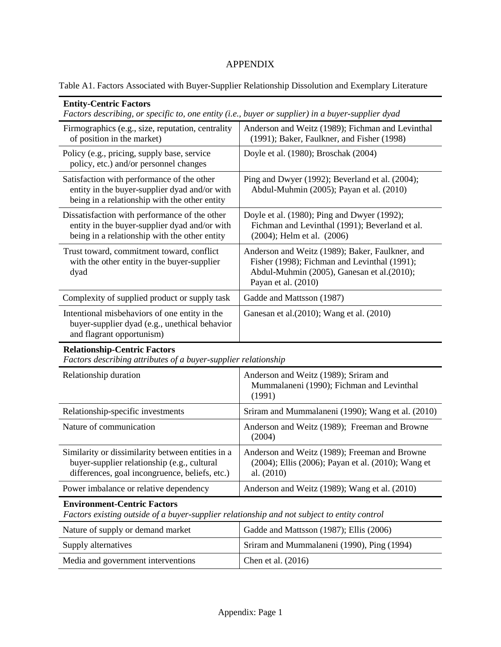# APPENDIX

| Table A1. Factors Associated with Buyer-Supplier Relationship Dissolution and Exemplary Literature |  |  |  |  |
|----------------------------------------------------------------------------------------------------|--|--|--|--|
|----------------------------------------------------------------------------------------------------|--|--|--|--|

| <b>Entity-Centric Factors</b><br>Factors describing, or specific to, one entity (i.e., buyer or supplier) in a buyer-supplier dyad                 |                                                                                                                                                                      |  |  |  |  |
|----------------------------------------------------------------------------------------------------------------------------------------------------|----------------------------------------------------------------------------------------------------------------------------------------------------------------------|--|--|--|--|
| Firmographics (e.g., size, reputation, centrality<br>of position in the market)                                                                    | Anderson and Weitz (1989); Fichman and Levinthal<br>(1991); Baker, Faulkner, and Fisher (1998)                                                                       |  |  |  |  |
| Policy (e.g., pricing, supply base, service<br>policy, etc.) and/or personnel changes                                                              | Doyle et al. (1980); Broschak (2004)                                                                                                                                 |  |  |  |  |
| Satisfaction with performance of the other<br>entity in the buyer-supplier dyad and/or with<br>being in a relationship with the other entity       | Ping and Dwyer (1992); Beverland et al. (2004);<br>Abdul-Muhmin (2005); Payan et al. (2010)                                                                          |  |  |  |  |
| Dissatisfaction with performance of the other<br>entity in the buyer-supplier dyad and/or with<br>being in a relationship with the other entity    | Doyle et al. (1980); Ping and Dwyer (1992);<br>Fichman and Levinthal (1991); Beverland et al.<br>(2004); Helm et al. (2006)                                          |  |  |  |  |
| Trust toward, commitment toward, conflict<br>with the other entity in the buyer-supplier<br>dyad                                                   | Anderson and Weitz (1989); Baker, Faulkner, and<br>Fisher (1998); Fichman and Levinthal (1991);<br>Abdul-Muhmin (2005), Ganesan et al.(2010);<br>Payan et al. (2010) |  |  |  |  |
| Complexity of supplied product or supply task                                                                                                      | Gadde and Mattsson (1987)                                                                                                                                            |  |  |  |  |
| Intentional misbehaviors of one entity in the<br>buyer-supplier dyad (e.g., unethical behavior<br>and flagrant opportunism)                        | Ganesan et al. (2010); Wang et al. (2010)                                                                                                                            |  |  |  |  |
| <b>Relationship-Centric Factors</b><br>Factors describing attributes of a buyer-supplier relationship                                              |                                                                                                                                                                      |  |  |  |  |
| Relationship duration                                                                                                                              | Anderson and Weitz (1989); Sriram and<br>Mummalaneni (1990); Fichman and Levinthal<br>(1991)                                                                         |  |  |  |  |
| Relationship-specific investments                                                                                                                  | Sriram and Mummalaneni (1990); Wang et al. (2010)                                                                                                                    |  |  |  |  |
| Nature of communication                                                                                                                            | Anderson and Weitz (1989); Freeman and Browne<br>(2004)                                                                                                              |  |  |  |  |
| Similarity or dissimilarity between entities in a<br>buyer-supplier relationship (e.g., cultural<br>differences, goal incongruence, beliefs, etc.) | Anderson and Weitz (1989); Freeman and Browne<br>(2004); Ellis (2006); Payan et al. (2010); Wang et<br>al. (2010)                                                    |  |  |  |  |
| Power imbalance or relative dependency                                                                                                             | Anderson and Weitz (1989); Wang et al. (2010)                                                                                                                        |  |  |  |  |
| <b>Environment-Centric Factors</b><br>Factors existing outside of a buyer-supplier relationship and not subject to entity control                  |                                                                                                                                                                      |  |  |  |  |
| Nature of supply or demand market                                                                                                                  | Gadde and Mattsson (1987); Ellis (2006)                                                                                                                              |  |  |  |  |

| Nature of supply or demand market  | Gadde and Mattsson $(1987)$ ; Ellis $(2006)$ |
|------------------------------------|----------------------------------------------|
| Supply alternatives                | Sriram and Mummalaneni (1990), Ping (1994)   |
| Media and government interventions | Chen et al. $(2016)$                         |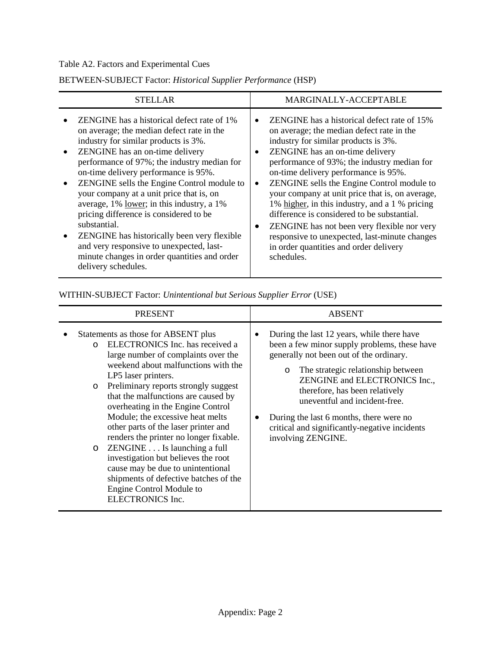# Table A2. Factors and Experimental Cues

# BETWEEN-SUBJECT Factor: *Historical Supplier Performance* (HSP)

| <b>STELLAR</b>                                                                                                                                                                                                                                                                                                                                                                                                                                                                                                                                                                                                                                                             | MARGINALLY-ACCEPTABLE                                                                                                                                                                                                                                                                                                                                                                                                                                                                                                                                                                                                |
|----------------------------------------------------------------------------------------------------------------------------------------------------------------------------------------------------------------------------------------------------------------------------------------------------------------------------------------------------------------------------------------------------------------------------------------------------------------------------------------------------------------------------------------------------------------------------------------------------------------------------------------------------------------------------|----------------------------------------------------------------------------------------------------------------------------------------------------------------------------------------------------------------------------------------------------------------------------------------------------------------------------------------------------------------------------------------------------------------------------------------------------------------------------------------------------------------------------------------------------------------------------------------------------------------------|
| <b>ZENGINE</b> has a historical defect rate of 1%<br>on average; the median defect rate in the<br>industry for similar products is 3%.<br>ZENGINE has an on-time delivery<br>$\bullet$<br>performance of 97%; the industry median for<br>on-time delivery performance is 95%.<br>ZENGINE sells the Engine Control module to<br>$\bullet$<br>your company at a unit price that is, on<br>average, 1% lower; in this industry, a 1%<br>pricing difference is considered to be<br>substantial.<br>ZENGINE has historically been very flexible<br>$\bullet$<br>and very responsive to unexpected, last-<br>minute changes in order quantities and order<br>delivery schedules. | ZENGINE has a historical defect rate of 15%<br>on average; the median defect rate in the<br>industry for similar products is 3%.<br>ZENGINE has an on-time delivery<br>performance of 93%; the industry median for<br>on-time delivery performance is 95%.<br>ZENGINE sells the Engine Control module to<br>your company at unit price that is, on average,<br>1% higher, in this industry, and a 1 % pricing<br>difference is considered to be substantial.<br>ZENGINE has not been very flexible nor very<br>responsive to unexpected, last-minute changes<br>in order quantities and order delivery<br>schedules. |

WITHIN-SUBJECT Factor: *Unintentional but Serious Supplier Error* (USE)

| PRESENT                                                                                                                                                                                                                                                                                                                                                                                                                                                                                                                                                                                                                                                                  | <b>ABSENT</b>                                                                                                                                                                                                                                                                                                                                                                                                |  |  |  |  |
|--------------------------------------------------------------------------------------------------------------------------------------------------------------------------------------------------------------------------------------------------------------------------------------------------------------------------------------------------------------------------------------------------------------------------------------------------------------------------------------------------------------------------------------------------------------------------------------------------------------------------------------------------------------------------|--------------------------------------------------------------------------------------------------------------------------------------------------------------------------------------------------------------------------------------------------------------------------------------------------------------------------------------------------------------------------------------------------------------|--|--|--|--|
| Statements as those for ABSENT plus<br>ELECTRONICS Inc. has received a<br>$\Omega$<br>large number of complaints over the<br>weekend about malfunctions with the<br>LP5 laser printers.<br>Preliminary reports strongly suggest<br>$\circ$<br>that the malfunctions are caused by<br>overheating in the Engine Control<br>Module; the excessive heat melts<br>other parts of the laser printer and<br>renders the printer no longer fixable.<br>$\circ$ ZENGINE $\ldots$ Is launching a full<br>investigation but believes the root<br>cause may be due to unintentional<br>shipments of defective batches of the<br>Engine Control Module to<br><b>ELECTRONICS Inc.</b> | During the last 12 years, while there have<br>been a few minor supply problems, these have<br>generally not been out of the ordinary.<br>The strategic relationship between<br>$\circ$<br>ZENGINE and ELECTRONICS Inc.,<br>therefore, has been relatively<br>uneventful and incident-free.<br>During the last 6 months, there were no<br>critical and significantly-negative incidents<br>involving ZENGINE. |  |  |  |  |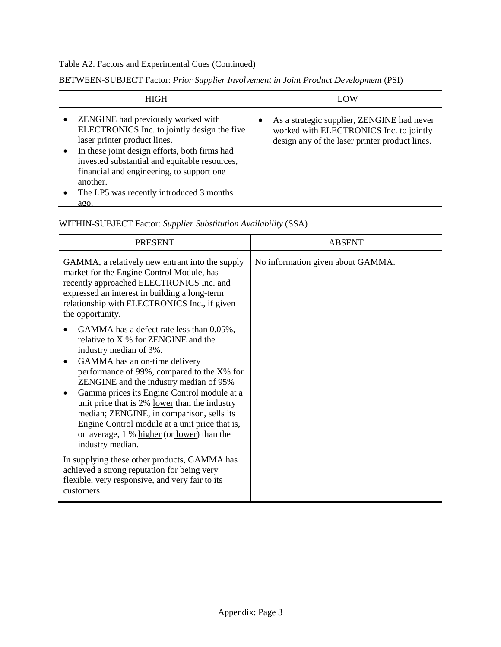# Table A2. Factors and Experimental Cues (Continued)

| <b>HIGH</b>                                                                                                                                                                                                                                                                                                                                   | LOW                                                                                                                                                  |
|-----------------------------------------------------------------------------------------------------------------------------------------------------------------------------------------------------------------------------------------------------------------------------------------------------------------------------------------------|------------------------------------------------------------------------------------------------------------------------------------------------------|
| ZENGINE had previously worked with<br>ELECTRONICS Inc. to jointly design the five<br>laser printer product lines.<br>In these joint design efforts, both firms had<br>invested substantial and equitable resources,<br>financial and engineering, to support one<br>another.<br>The LP5 was recently introduced 3 months<br>$\bullet$<br>ago. | As a strategic supplier, ZENGINE had never<br>$\bullet$<br>worked with ELECTRONICS Inc. to jointly<br>design any of the laser printer product lines. |

BETWEEN-SUBJECT Factor: *Prior Supplier Involvement in Joint Product Development* (PSI)

WITHIN-SUBJECT Factor: *Supplier Substitution Availability* (SSA)

| <b>PRESENT</b>                                                                                                                                                                                                                                                                                                                                                                                                                                                                                      | <b>ABSENT</b>                     |
|-----------------------------------------------------------------------------------------------------------------------------------------------------------------------------------------------------------------------------------------------------------------------------------------------------------------------------------------------------------------------------------------------------------------------------------------------------------------------------------------------------|-----------------------------------|
| GAMMA, a relatively new entrant into the supply<br>market for the Engine Control Module, has<br>recently approached ELECTRONICS Inc. and<br>expressed an interest in building a long-term<br>relationship with ELECTRONICS Inc., if given<br>the opportunity.                                                                                                                                                                                                                                       | No information given about GAMMA. |
| GAMMA has a defect rate less than 0.05%,<br>relative to X % for ZENGINE and the<br>industry median of 3%.<br>GAMMA has an on-time delivery<br>performance of 99%, compared to the X% for<br>ZENGINE and the industry median of 95%<br>Gamma prices its Engine Control module at a<br>unit price that is 2% lower than the industry<br>median; ZENGINE, in comparison, sells its<br>Engine Control module at a unit price that is,<br>on average, 1 % higher (or lower) than the<br>industry median. |                                   |
| In supplying these other products, GAMMA has<br>achieved a strong reputation for being very<br>flexible, very responsive, and very fair to its<br>customers.                                                                                                                                                                                                                                                                                                                                        |                                   |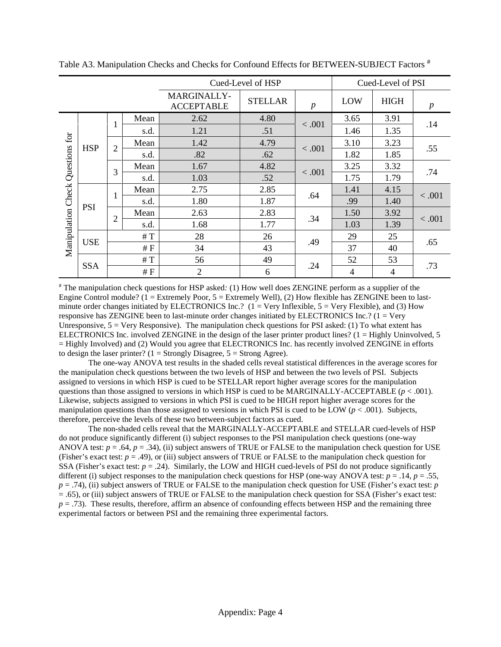|                              |            |                                |      | Cued-Level of HSP                |                                    |        | Cued-Level of PSI |             |                  |
|------------------------------|------------|--------------------------------|------|----------------------------------|------------------------------------|--------|-------------------|-------------|------------------|
|                              |            |                                |      | MARGINALLY-<br><b>ACCEPTABLE</b> | <b>STELLAR</b><br>$\boldsymbol{p}$ |        | LOW               | <b>HIGH</b> | $\boldsymbol{p}$ |
|                              |            |                                | Mean | 2.62                             | 4.80                               | < .001 | 3.65              | 3.91        | .14              |
|                              |            | 1                              | s.d. | 1.21                             | .51                                |        | 1.46              | 1.35        |                  |
| for                          | <b>HSP</b> |                                | Mean | 1.42                             | 4.79                               | < .001 | 3.10              | 3.23        | .55              |
|                              |            | $\overline{c}$                 | s.d. | .82                              | .62                                |        | 1.82              | 1.85        |                  |
|                              |            | 3                              | Mean | 1.67                             | 4.82                               | < .001 | 3.25              | 3.32        | .74              |
|                              |            |                                | s.d. | 1.03                             | .52                                |        | 1.75              | 1.79        |                  |
|                              | <b>PSI</b> | $\mathbf{1}$<br>$\overline{2}$ | Mean | 2.75                             | 2.85                               | .64    | 1.41              | 4.15        | < .001<br>< .001 |
|                              |            |                                | s.d. | 1.80                             | 1.87                               |        | .99               | 1.40        |                  |
|                              |            |                                | Mean | 2.63                             | 2.83                               | .34    | 1.50              | 3.92        |                  |
| Manipulation Check Questions |            |                                | s.d. | 1.68                             | 1.77                               |        | 1.03              | 1.39        |                  |
|                              | <b>USE</b> |                                | #T   | 28                               | 26                                 | .49    | 29                | 25          | .65              |
|                              |            |                                | #F   | 34                               | 43                                 |        | 37                | 40          |                  |
|                              | <b>SSA</b> |                                | #T   | 56                               | 49                                 | .24    | 52                | 53          | .73              |
|                              |            |                                | #F   | $\overline{2}$                   | 6                                  |        | 4                 | 4           |                  |

Table A3. Manipulation Checks and Checks for Confound Effects for BETWEEN-SUBJECT Factors  $^{\#}$ 

# The manipulation check questions for HSP asked*:* (1) How well does ZENGINE perform as a supplier of the Engine Control module? ( $1 =$  Extremely Poor,  $5 =$  Extremely Well), (2) How flexible has ZENGINE been to lastminute order changes initiated by ELECTRONICS Inc.?  $(1 = \text{Very Inflexible}, 5 = \text{Very Flexible})$ , and (3) How responsive has ZENGINE been to last-minute order changes initiated by ELECTRONICS Inc.? (1 = Very Unresponsive,  $5 =$  Very Responsive). The manipulation check questions for PSI asked: (1) To what extent has ELECTRONICS Inc. involved ZENGINE in the design of the laser printer product lines? (1 = Highly Uninvolved, 5 = Highly Involved) and (2) Would you agree that ELECTRONICS Inc. has recently involved ZENGINE in efforts to design the laser printer? ( $1 =$  Strongly Disagree,  $5 =$  Strong Agree).

The one-way ANOVA test results in the shaded cells reveal statistical differences in the average scores for the manipulation check questions between the two levels of HSP and between the two levels of PSI. Subjects assigned to versions in which HSP is cued to be STELLAR report higher average scores for the manipulation questions than those assigned to versions in which HSP is cued to be MARGINALLY-ACCEPTABLE  $(p < .001)$ . Likewise, subjects assigned to versions in which PSI is cued to be HIGH report higher average scores for the manipulation questions than those assigned to versions in which PSI is cued to be LOW ( $p < .001$ ). Subjects, therefore, perceive the levels of these two between-subject factors as cued.

The non-shaded cells reveal that the MARGINALLY-ACCEPTABLE and STELLAR cued-levels of HSP do not produce significantly different (i) subject responses to the PSI manipulation check questions (one-way ANOVA test:  $p = .64$ ,  $p = .34$ ), (ii) subject answers of TRUE or FALSE to the manipulation check question for USE (Fisher's exact test:  $p = .49$ ), or (iii) subject answers of TRUE or FALSE to the manipulation check question for SSA (Fisher's exact test:  $p = .24$ ). Similarly, the LOW and HIGH cued-levels of PSI do not produce significantly different (i) subject responses to the manipulation check questions for HSP (one-way ANOVA test:  $p = .14$ ,  $p = .55$ , *p* = .74), (ii) subject answers of TRUE or FALSE to the manipulation check question for USE (Fisher's exact test: *p* = .65), or (iii) subject answers of TRUE or FALSE to the manipulation check question for SSA (Fisher's exact test: *p* = .73). These results, therefore, affirm an absence of confounding effects between HSP and the remaining three experimental factors or between PSI and the remaining three experimental factors.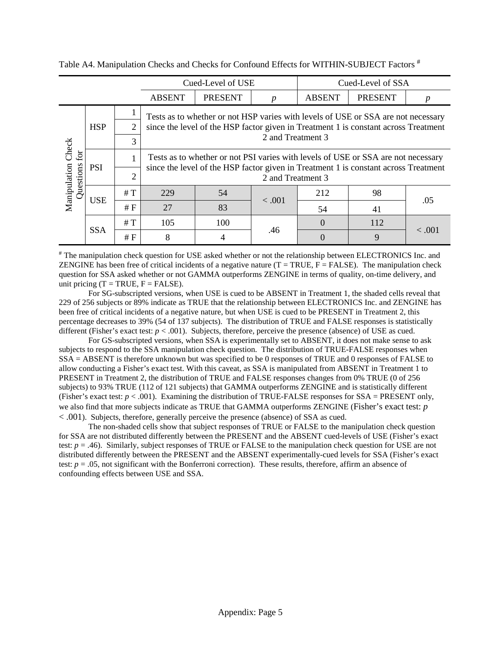|                           |            |                | Cued-Level of USE                                                                                        |                                                                                     |                  | Cued-Level of SSA |                |             |  |  |  |  |
|---------------------------|------------|----------------|----------------------------------------------------------------------------------------------------------|-------------------------------------------------------------------------------------|------------------|-------------------|----------------|-------------|--|--|--|--|
|                           |            |                | <b>ABSENT</b>                                                                                            | <b>PRESENT</b>                                                                      | $\boldsymbol{p}$ | <b>ABSENT</b>     | <b>PRESENT</b> |             |  |  |  |  |
|                           |            |                |                                                                                                          | Tests as to whether or not HSP varies with levels of USE or SSA are not necessary   |                  |                   |                |             |  |  |  |  |
|                           | <b>HSP</b> | 2              |                                                                                                          | since the level of the HSP factor given in Treatment 1 is constant across Treatment |                  |                   |                |             |  |  |  |  |
|                           |            | 3              |                                                                                                          | 2 and Treatment 3                                                                   |                  |                   |                |             |  |  |  |  |
| Check<br>£                | <b>PSI</b> |                |                                                                                                          | Tests as to whether or not PSI varies with levels of USE or SSA are not necessary   |                  |                   |                |             |  |  |  |  |
| Manipulation<br>Questions |            | $\overline{2}$ | since the level of the HSP factor given in Treatment 1 is constant across Treatment<br>2 and Treatment 3 |                                                                                     |                  |                   |                |             |  |  |  |  |
|                           | <b>USE</b> | #T             | 229                                                                                                      | 54                                                                                  | < .001           | 212               | 98             | .05         |  |  |  |  |
|                           |            | #F             | 27                                                                                                       | 83                                                                                  |                  | 54                | 41             |             |  |  |  |  |
|                           |            | #T             | 105                                                                                                      | 100                                                                                 |                  | $\Omega$          | 112            | $\leq .001$ |  |  |  |  |
|                           | <b>SSA</b> | #F             | 8                                                                                                        |                                                                                     | .46              | 0                 | 9              |             |  |  |  |  |

Table A4. Manipulation Checks and Checks for Confound Effects for WITHIN-SUBJECT Factors  $^{\#}$ 

# The manipulation check question for USE asked whether or not the relationship between ELECTRONICS Inc. and ZENGINE has been free of critical incidents of a negative nature  $(T = TRUE, F = FALSE)$ . The manipulation check question for SSA asked whether or not GAMMA outperforms ZENGINE in terms of quality, on-time delivery, and unit pricing  $(T = TRUE, F = FALSE)$ .

For SG-subscripted versions, when USE is cued to be ABSENT in Treatment 1, the shaded cells reveal that 229 of 256 subjects or 89% indicate as TRUE that the relationship between ELECTRONICS Inc. and ZENGINE has been free of critical incidents of a negative nature, but when USE is cued to be PRESENT in Treatment 2, this percentage decreases to 39% (54 of 137 subjects). The distribution of TRUE and FALSE responses is statistically different (Fisher's exact test:  $p < .001$ ). Subjects, therefore, perceive the presence (absence) of USE as cued.

For GS-subscripted versions, when SSA is experimentally set to ABSENT, it does not make sense to ask subjects to respond to the SSA manipulation check question. The distribution of TRUE-FALSE responses when SSA = ABSENT is therefore unknown but was specified to be 0 responses of TRUE and 0 responses of FALSE to allow conducting a Fisher's exact test. With this caveat, as SSA is manipulated from ABSENT in Treatment 1 to PRESENT in Treatment 2, the distribution of TRUE and FALSE responses changes from 0% TRUE (0 of 256 subjects) to 93% TRUE (112 of 121 subjects) that GAMMA outperforms ZENGINE and is statistically different (Fisher's exact test:  $p < .001$ ). Examining the distribution of TRUE-FALSE responses for  $SSA = PRESENT$  only, we also find that more subjects indicate as TRUE that GAMMA outperforms ZENGINE (Fisher's exact test: *p* < .001). Subjects, therefore, generally perceive the presence (absence) of SSA as cued.

The non-shaded cells show that subject responses of TRUE or FALSE to the manipulation check question for SSA are not distributed differently between the PRESENT and the ABSENT cued-levels of USE (Fisher's exact test:  $p = .46$ ). Similarly, subject responses of TRUE or FALSE to the manipulation check question for USE are not distributed differently between the PRESENT and the ABSENT experimentally-cued levels for SSA (Fisher's exact test: *p* = .05, not significant with the Bonferroni correction). These results, therefore, affirm an absence of confounding effects between USE and SSA.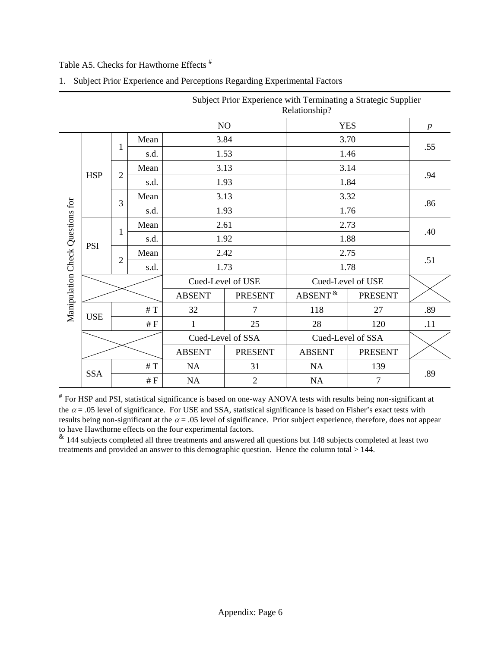# Table A5. Checks for Hawthorne Effects #

|                                  | Subject Prior Experience with Terminating a Strategic Supplier<br>Relationship? |                |               |                   |                         |                   |        |     |  |
|----------------------------------|---------------------------------------------------------------------------------|----------------|---------------|-------------------|-------------------------|-------------------|--------|-----|--|
|                                  | NO<br><b>YES</b>                                                                |                |               |                   |                         |                   |        |     |  |
|                                  |                                                                                 |                | Mean          |                   | 3.84                    |                   | 3.70   |     |  |
|                                  |                                                                                 | 1              | s.d.          | 1.53              |                         | 1.46              |        | .55 |  |
|                                  |                                                                                 |                | Mean          | 3.13              |                         | 3.14              |        |     |  |
|                                  | <b>HSP</b>                                                                      | $\overline{2}$ | s.d.          |                   | 1.93                    | 1.84              |        | .94 |  |
|                                  |                                                                                 |                | Mean          | 3.13              |                         | 3.32              |        |     |  |
|                                  |                                                                                 | 3              | s.d.          |                   | 1.93                    | 1.76              |        | .86 |  |
| Manipulation Check Questions for | <b>PSI</b>                                                                      | 1              | Mean          | 2.61              |                         | 2.73              |        | .40 |  |
|                                  |                                                                                 |                | s.d.          | 1.92              |                         | 1.88              |        |     |  |
|                                  |                                                                                 |                | Mean          | 2.42              |                         |                   | 2.75   |     |  |
|                                  |                                                                                 | $\mathbf{2}$   | s.d.          | 1.73              |                         | 1.78              |        | .51 |  |
|                                  |                                                                                 |                |               | Cued-Level of USE |                         | Cued-Level of USE |        |     |  |
|                                  |                                                                                 |                | <b>ABSENT</b> | <b>PRESENT</b>    | ABSENT <sup>&amp;</sup> | <b>PRESENT</b>    |        |     |  |
|                                  |                                                                                 |                | #T            | 32                | $\overline{7}$          | 118               | 27     | .89 |  |
|                                  | <b>USE</b>                                                                      | $\#$ F         |               | 1                 | 25                      | 28                | 120    | .11 |  |
|                                  |                                                                                 |                |               | Cued-Level of SSA |                         | Cued-Level of SSA |        |     |  |
|                                  |                                                                                 |                | <b>ABSENT</b> | <b>PRESENT</b>    | <b>ABSENT</b>           | <b>PRESENT</b>    |        |     |  |
|                                  |                                                                                 |                | $\#$ T        | NA                | 31                      | NA                | 139    |     |  |
|                                  | <b>SSA</b>                                                                      |                | $\#$ F        | NA                | $\overline{2}$          | NA                | $\tau$ | .89 |  |

1. Subject Prior Experience and Perceptions Regarding Experimental Factors

# For HSP and PSI, statistical significance is based on one-way ANOVA tests with results being non-significant at the  $\alpha$  = .05 level of significance. For USE and SSA, statistical significance is based on Fisher's exact tests with results being non-significant at the  $\alpha$  = .05 level of significance. Prior subject experience, therefore, does not appear to have Hawthorne effects on the four experimental factors.

 $\&$  144 subjects completed all three treatments and answered all questions but 148 subjects completed at least two treatments and provided an answer to this demographic question. Hence the column total > 144.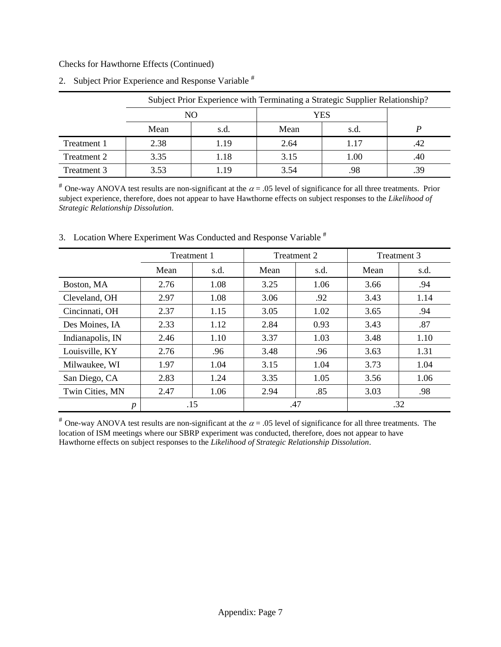Checks for Hawthorne Effects (Continued)

|             | Subject Prior Experience with Terminating a Strategic Supplier Relationship? |      |      |      |     |  |  |  |
|-------------|------------------------------------------------------------------------------|------|------|------|-----|--|--|--|
|             | NО                                                                           |      |      |      |     |  |  |  |
|             | Mean                                                                         | s.d. | Mean | s.d. |     |  |  |  |
| Treatment 1 | 2.38                                                                         | 1.19 | 2.64 | 1.17 | .42 |  |  |  |
| Treatment 2 | 3.35                                                                         | 1.18 | 3.15 | 1.00 | .40 |  |  |  |
| Treatment 3 | 3.53                                                                         | 1.19 | 3.54 | .98  |     |  |  |  |

2. Subject Prior Experience and Response Variable #

<sup>#</sup> One-way ANOVA test results are non-significant at the  $\alpha$  = .05 level of significance for all three treatments. Prior subject experience, therefore, does not appear to have Hawthorne effects on subject responses to the *Likelihood of Strategic Relationship Dissolution*.

|                  | Treatment 1 |      |      | Treatment 2 | Treatment 3 |      |
|------------------|-------------|------|------|-------------|-------------|------|
|                  | Mean        | s.d. | Mean | s.d.        | Mean        | s.d. |
| Boston, MA       | 2.76        | 1.08 | 3.25 | 1.06        | 3.66        | .94  |
| Cleveland, OH    | 2.97        | 1.08 | 3.06 | .92         | 3.43        | 1.14 |
| Cincinnati, OH   | 2.37        | 1.15 | 3.05 | 1.02        | 3.65        | .94  |
| Des Moines, IA   | 2.33        | 1.12 | 2.84 | 0.93        | 3.43        | .87  |
| Indianapolis, IN | 2.46        | 1.10 | 3.37 | 1.03        | 3.48        | 1.10 |
| Louisville, KY   | 2.76        | .96  | 3.48 | .96         | 3.63        | 1.31 |
| Milwaukee, WI    | 1.97        | 1.04 | 3.15 | 1.04        | 3.73        | 1.04 |
| San Diego, CA    | 2.83        | 1.24 | 3.35 | 1.05        | 3.56        | 1.06 |
| Twin Cities, MN  | 2.47        | 1.06 | 2.94 | .85         | 3.03        | .98  |
| $\boldsymbol{p}$ | .15         |      | .47  |             | .32         |      |

3. Location Where Experiment Was Conducted and Response Variable #

<sup>#</sup> One-way ANOVA test results are non-significant at the  $\alpha$  = .05 level of significance for all three treatments. The location of ISM meetings where our SBRP experiment was conducted, therefore, does not appear to have Hawthorne effects on subject responses to the *Likelihood of Strategic Relationship Dissolution*.